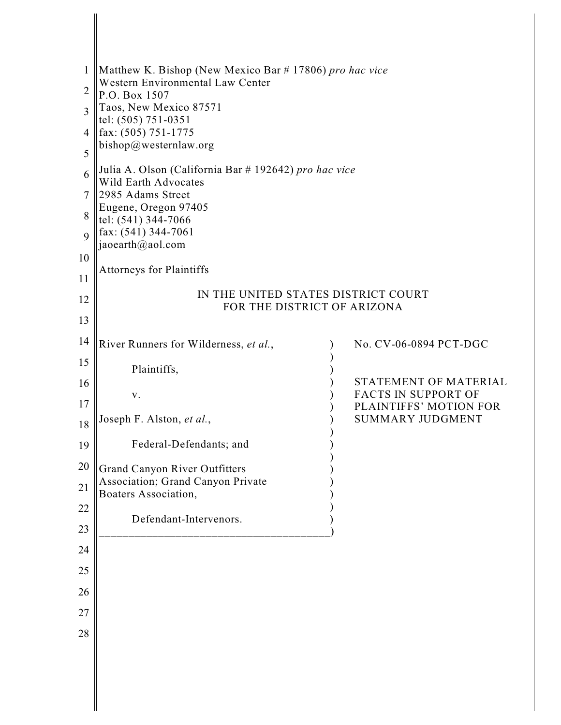| $\mathbf{1}$<br>$\overline{2}$<br>$\mathbf{3}$<br>4<br>5                         | Matthew K. Bishop (New Mexico Bar # 17806) pro hac vice<br>Western Environmental Law Center<br>P.O. Box 1507<br>Taos, New Mexico 87571<br>tel: (505) 751-0351<br>fax: (505) 751-1775<br>bishop@westernlaw.org                              |                                                                                                                                    |
|----------------------------------------------------------------------------------|--------------------------------------------------------------------------------------------------------------------------------------------------------------------------------------------------------------------------------------------|------------------------------------------------------------------------------------------------------------------------------------|
| 6<br>7<br>8<br>$\overline{Q}$<br>10<br>11                                        | Julia A. Olson (California Bar # 192642) pro hac vice<br><b>Wild Earth Advocates</b><br>2985 Adams Street<br>Eugene, Oregon 97405<br>tel: (541) 344-7066<br>fax: (541) 344-7061<br>jaoearth@aol.com<br><b>Attorneys for Plaintiffs</b>     |                                                                                                                                    |
| 12<br>13                                                                         | IN THE UNITED STATES DISTRICT COURT<br>FOR THE DISTRICT OF ARIZONA                                                                                                                                                                         |                                                                                                                                    |
| 14<br>15<br>16<br>17<br>18<br>19<br>20<br>21<br>22<br>23<br>24<br>25<br>26<br>27 | River Runners for Wilderness, et al.,<br>Plaintiffs,<br>V.<br>Joseph F. Alston, et al.,<br>Federal-Defendants; and<br>Grand Canyon River Outfitters<br>Association; Grand Canyon Private<br>Boaters Association,<br>Defendant-Intervenors. | No. CV-06-0894 PCT-DGC<br>STATEMENT OF MATERIAL<br><b>FACTS IN SUPPORT OF</b><br>PLAINTIFFS' MOTION FOR<br><b>SUMMARY JUDGMENT</b> |
| 28                                                                               |                                                                                                                                                                                                                                            |                                                                                                                                    |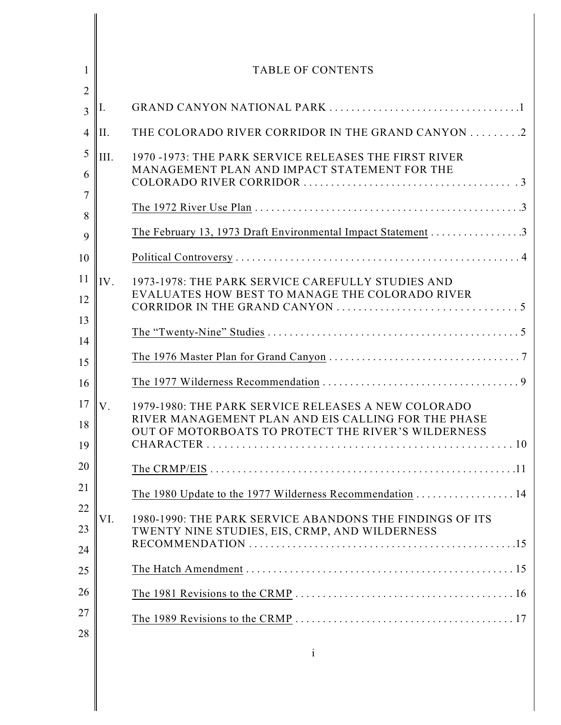| 1                     |      | <b>TABLE OF CONTENTS</b>                                                                                                                                          |
|-----------------------|------|-------------------------------------------------------------------------------------------------------------------------------------------------------------------|
| $\overline{2}$<br>3   | Ι.   |                                                                                                                                                                   |
| $\overline{4}$        | II.  | THE COLORADO RIVER CORRIDOR IN THE GRAND CANYON 2                                                                                                                 |
| 5<br>6<br>7<br>8<br>9 | III. | 1970 -1973: THE PARK SERVICE RELEASES THE FIRST RIVER<br>MANAGEMENT PLAN AND IMPACT STATEMENT FOR THE                                                             |
| 10                    |      |                                                                                                                                                                   |
| 11<br>12              | IV.  | 1973-1978: THE PARK SERVICE CAREFULLY STUDIES AND<br>EVALUATES HOW BEST TO MANAGE THE COLORADO RIVER                                                              |
| 13<br>14              |      |                                                                                                                                                                   |
| 15                    |      |                                                                                                                                                                   |
| 16                    |      |                                                                                                                                                                   |
| 17<br>18<br>19        | V.   | 1979-1980: THE PARK SERVICE RELEASES A NEW COLORADO<br>RIVER MANAGEMENT PLAN AND EIS CALLING FOR THE PHASE<br>OUT OF MOTORBOATS TO PROTECT THE RIVER'S WILDERNESS |
| 20                    |      |                                                                                                                                                                   |
| 21                    |      | The 1980 Update to the 1977 Wilderness Recommendation 14                                                                                                          |
| 22<br>23<br>24        | VI.  | 1980-1990: THE PARK SERVICE ABANDONS THE FINDINGS OF ITS<br>TWENTY NINE STUDIES, EIS, CRMP, AND WILDERNESS                                                        |
| 25                    |      |                                                                                                                                                                   |
| 26                    |      |                                                                                                                                                                   |
| 27<br>28              |      |                                                                                                                                                                   |
|                       |      | $\mathbf{i}$                                                                                                                                                      |

║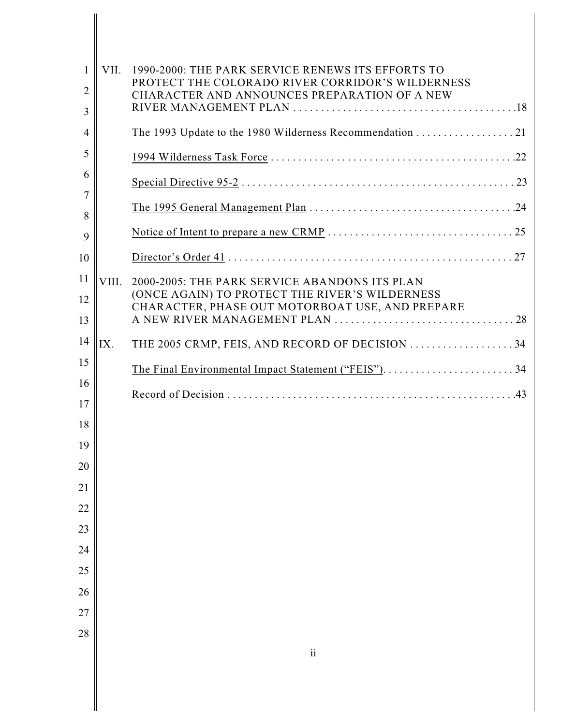| 1              | VII.  | 1990-2000: THE PARK SERVICE RENEWS ITS EFFORTS TO                                                 |
|----------------|-------|---------------------------------------------------------------------------------------------------|
| $\overline{2}$ |       | PROTECT THE COLORADO RIVER CORRIDOR'S WILDERNESS<br>CHARACTER AND ANNOUNCES PREPARATION OF A NEW  |
| 3              |       |                                                                                                   |
| $\overline{4}$ |       |                                                                                                   |
| 5              |       |                                                                                                   |
| 6              |       |                                                                                                   |
| 7              |       |                                                                                                   |
| 8              |       |                                                                                                   |
| 9              |       |                                                                                                   |
| 10             |       |                                                                                                   |
| 11             | VIII. | 2000-2005: THE PARK SERVICE ABANDONS ITS PLAN                                                     |
| 12             |       | (ONCE AGAIN) TO PROTECT THE RIVER'S WILDERNESS<br>CHARACTER, PHASE OUT MOTORBOAT USE, AND PREPARE |
| 13             |       |                                                                                                   |
| 14             | IX.   | THE 2005 CRMP, FEIS, AND RECORD OF DECISION  34                                                   |
| 15             |       |                                                                                                   |
| 16             |       |                                                                                                   |
| 17             |       |                                                                                                   |
| 18             |       |                                                                                                   |
| 19             |       |                                                                                                   |
| 20             |       |                                                                                                   |
| 21             |       |                                                                                                   |
| 22             |       |                                                                                                   |
| 23             |       |                                                                                                   |
| 24             |       |                                                                                                   |
| 25             |       |                                                                                                   |
| 26             |       |                                                                                                   |
| 27             |       |                                                                                                   |
| 28             |       |                                                                                                   |
|                |       | $\mathbf{ii}$                                                                                     |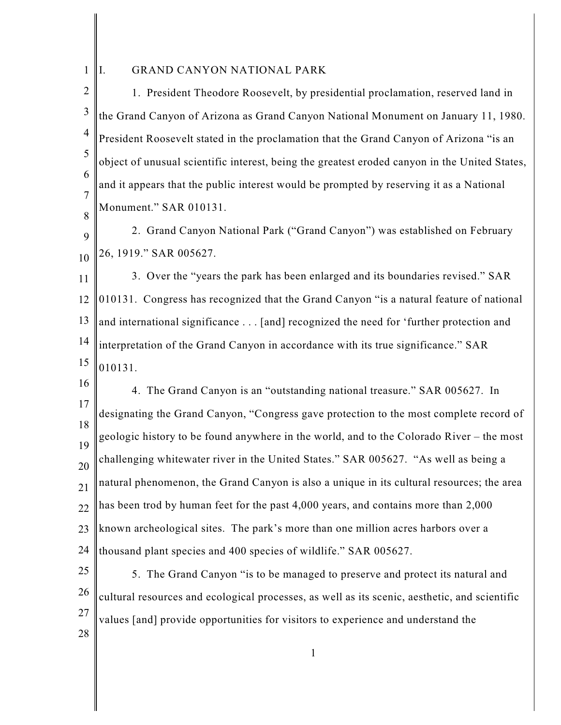1 I. GRAND CANYON NATIONAL PARK

2 3 4 5 6 7 8 1. President Theodore Roosevelt, by presidential proclamation, reserved land in the Grand Canyon of Arizona as Grand Canyon National Monument on January 11, 1980. President Roosevelt stated in the proclamation that the Grand Canyon of Arizona "is an object of unusual scientific interest, being the greatest eroded canyon in the United States, and it appears that the public interest would be prompted by reserving it as a National Monument." SAR 010131.

9 10 2. Grand Canyon National Park ("Grand Canyon") was established on February 26, 1919." SAR 005627.

11 12 13 14 15 3. Over the "years the park has been enlarged and its boundaries revised." SAR 010131. Congress has recognized that the Grand Canyon "is a natural feature of national and international significance . . . [and] recognized the need for 'further protection and interpretation of the Grand Canyon in accordance with its true significance." SAR 010131.

16 17 18 19 20 21 22 23 24 4. The Grand Canyon is an "outstanding national treasure." SAR 005627. In designating the Grand Canyon, "Congress gave protection to the most complete record of geologic history to be found anywhere in the world, and to the Colorado River – the most challenging whitewater river in the United States." SAR 005627. "As well as being a natural phenomenon, the Grand Canyon is also a unique in its cultural resources; the area has been trod by human feet for the past 4,000 years, and contains more than 2,000 known archeological sites. The park's more than one million acres harbors over a thousand plant species and 400 species of wildlife." SAR 005627.

25 26 27 28 5. The Grand Canyon "is to be managed to preserve and protect its natural and cultural resources and ecological processes, as well as its scenic, aesthetic, and scientific values [and] provide opportunities for visitors to experience and understand the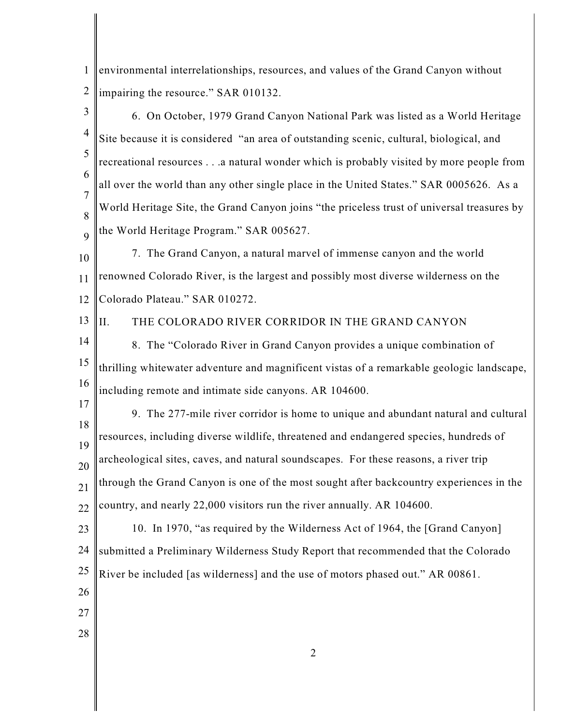1 2 environmental interrelationships, resources, and values of the Grand Canyon without impairing the resource." SAR 010132.

3 4 5 6 7 8 9 10 11 12 13 14 15 16 17 18 19 20 21 22 23 24 25 26 27 28 6. On October, 1979 Grand Canyon National Park was listed as a World Heritage Site because it is considered "an area of outstanding scenic, cultural, biological, and recreational resources . . .a natural wonder which is probably visited by more people from all over the world than any other single place in the United States." SAR 0005626. As a World Heritage Site, the Grand Canyon joins "the priceless trust of universal treasures by the World Heritage Program." SAR 005627. 7. The Grand Canyon, a natural marvel of immense canyon and the world renowned Colorado River, is the largest and possibly most diverse wilderness on the Colorado Plateau." SAR 010272. II. THE COLORADO RIVER CORRIDOR IN THE GRAND CANYON 8. The "Colorado River in Grand Canyon provides a unique combination of thrilling whitewater adventure and magnificent vistas of a remarkable geologic landscape, including remote and intimate side canyons. AR 104600. 9. The 277-mile river corridor is home to unique and abundant natural and cultural resources, including diverse wildlife, threatened and endangered species, hundreds of archeological sites, caves, and natural soundscapes. For these reasons, a river trip through the Grand Canyon is one of the most sought after backcountry experiences in the country, and nearly 22,000 visitors run the river annually. AR 104600. 10. In 1970, "as required by the Wilderness Act of 1964, the [Grand Canyon] submitted a Preliminary Wilderness Study Report that recommended that the Colorado River be included [as wilderness] and the use of motors phased out." AR 00861.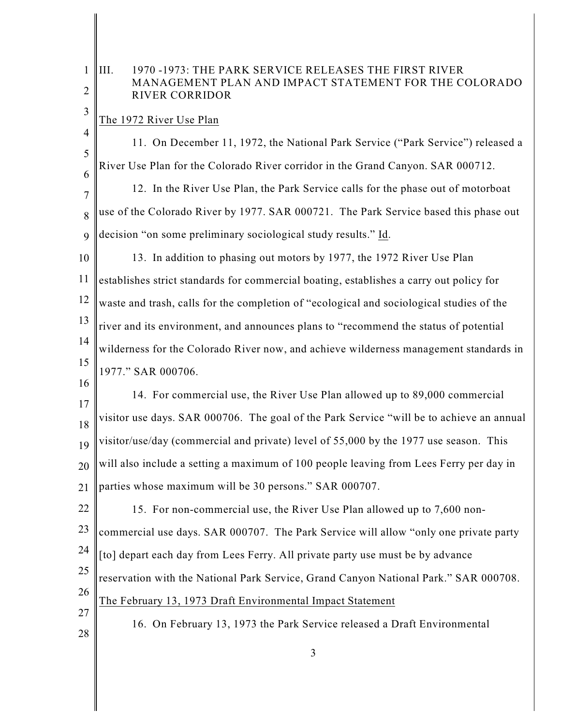## 1 2 III. 1970 -1973: THE PARK SERVICE RELEASES THE FIRST RIVER MANAGEMENT PLAN AND IMPACT STATEMENT FOR THE COLORADO RIVER CORRIDOR

## The 1972 River Use Plan

3

4 5 6 11. On December 11, 1972, the National Park Service ("Park Service") released a River Use Plan for the Colorado River corridor in the Grand Canyon. SAR 000712.

7 8 9 12. In the River Use Plan, the Park Service calls for the phase out of motorboat use of the Colorado River by 1977. SAR 000721. The Park Service based this phase out decision "on some preliminary sociological study results." Id.

10 11 12 13 14 15 13. In addition to phasing out motors by 1977, the 1972 River Use Plan establishes strict standards for commercial boating, establishes a carry out policy for waste and trash, calls for the completion of "ecological and sociological studies of the river and its environment, and announces plans to "recommend the status of potential wilderness for the Colorado River now, and achieve wilderness management standards in 1977." SAR 000706.

17 18 19 20 21 14. For commercial use, the River Use Plan allowed up to 89,000 commercial visitor use days. SAR 000706. The goal of the Park Service "will be to achieve an annual visitor/use/day (commercial and private) level of 55,000 by the 1977 use season. This will also include a setting a maximum of 100 people leaving from Lees Ferry per day in parties whose maximum will be 30 persons." SAR 000707.

22 23 24 25 26 27 15. For non-commercial use, the River Use Plan allowed up to 7,600 noncommercial use days. SAR 000707. The Park Service will allow "only one private party [to] depart each day from Lees Ferry. All private party use must be by advance reservation with the National Park Service, Grand Canyon National Park." SAR 000708. The February 13, 1973 Draft Environmental Impact Statement

28

16

16. On February 13, 1973 the Park Service released a Draft Environmental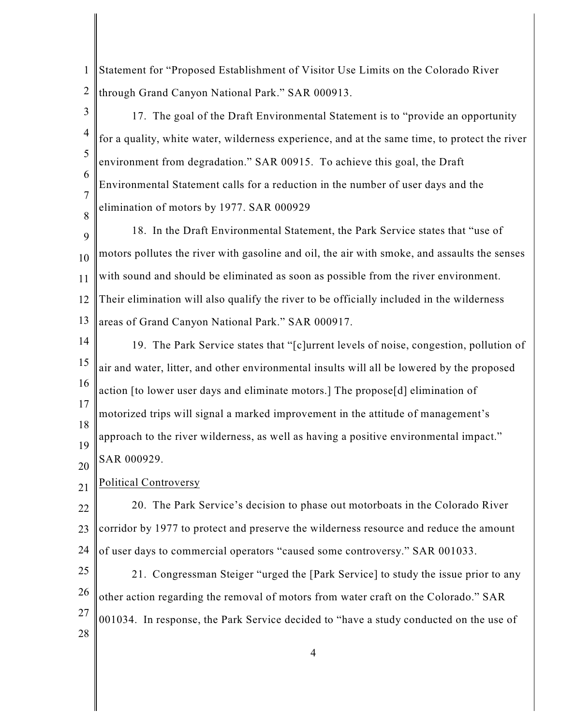1 2 Statement for "Proposed Establishment of Visitor Use Limits on the Colorado River through Grand Canyon National Park." SAR 000913.

3 4

5

6

7

8

17. The goal of the Draft Environmental Statement is to "provide an opportunity for a quality, white water, wilderness experience, and at the same time, to protect the river environment from degradation." SAR 00915. To achieve this goal, the Draft Environmental Statement calls for a reduction in the number of user days and the elimination of motors by 1977. SAR 000929

9 10 11 12 13 18. In the Draft Environmental Statement, the Park Service states that "use of motors pollutes the river with gasoline and oil, the air with smoke, and assaults the senses with sound and should be eliminated as soon as possible from the river environment. Their elimination will also qualify the river to be officially included in the wilderness areas of Grand Canyon National Park." SAR 000917.

14 15 16 17 18 19 19. The Park Service states that "[c]urrent levels of noise, congestion, pollution of air and water, litter, and other environmental insults will all be lowered by the proposed action [to lower user days and eliminate motors.] The propose[d] elimination of motorized trips will signal a marked improvement in the attitude of management's approach to the river wilderness, as well as having a positive environmental impact." SAR 000929.

21 Political Controversy

20

22 23 24 20. The Park Service's decision to phase out motorboats in the Colorado River corridor by 1977 to protect and preserve the wilderness resource and reduce the amount of user days to commercial operators "caused some controversy." SAR 001033.

25 26 27 28 21. Congressman Steiger "urged the [Park Service] to study the issue prior to any other action regarding the removal of motors from water craft on the Colorado." SAR 001034. In response, the Park Service decided to "have a study conducted on the use of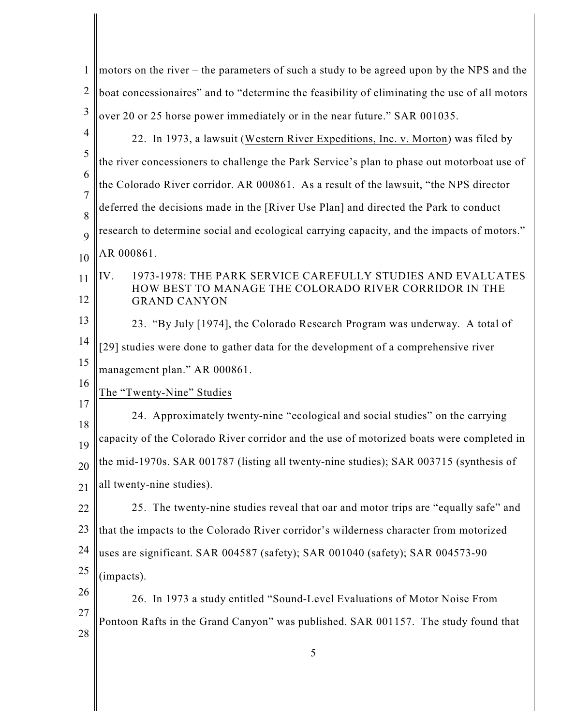| motors on the river – the parameters of such a study to be agreed upon by the NPS and the    |
|----------------------------------------------------------------------------------------------|
| boat concessionaires" and to "determine the feasibility of eliminating the use of all motors |
| over 20 or 25 horse power immediately or in the near future." SAR 001035.                    |
| 22. In 1973, a lawsuit (Western River Expeditions, Inc. v. Morton) was filed by              |
| the river concessioners to challenge the Park Service's plan to phase out motorboat use of   |
| the Colorado River corridor. AR 000861. As a result of the lawsuit, "the NPS director        |
| deferred the decisions made in the [River Use Plan] and directed the Park to conduct         |
| research to determine social and ecological carrying capacity, and the impacts of motors."   |
| AR 000861.                                                                                   |
| 1973-1978: THE PARK SERVICE CAREFULLY STUDIES AND EVALUATES<br>IV.                           |
| HOW BEST TO MANAGE THE COLORADO RIVER CORRIDOR IN THE<br><b>GRAND CANYON</b>                 |
| 23. "By July [1974], the Colorado Research Program was underway. A total of                  |
| [29] studies were done to gather data for the development of a comprehensive river           |
| management plan." AR 000861.                                                                 |
| The "Twenty-Nine" Studies                                                                    |
| 24. Approximately twenty-nine "ecological and social studies" on the carrying                |
| capacity of the Colorado River corridor and the use of motorized boats were completed in     |
| the mid-1970s. SAR 001787 (listing all twenty-nine studies); SAR 003715 (synthesis of        |
| all twenty-nine studies).                                                                    |
| 25. The twenty-nine studies reveal that oar and motor trips are "equally safe" and           |
| that the impacts to the Colorado River corridor's wilderness character from motorized        |
| uses are significant. SAR 004587 (safety); SAR 001040 (safety); SAR 004573-90                |
| (impacts).                                                                                   |
| 26. In 1973 a study entitled "Sound-Level Evaluations of Motor Noise From                    |
| Pontoon Rafts in the Grand Canyon" was published. SAR 001157. The study found that           |
| 5                                                                                            |
|                                                                                              |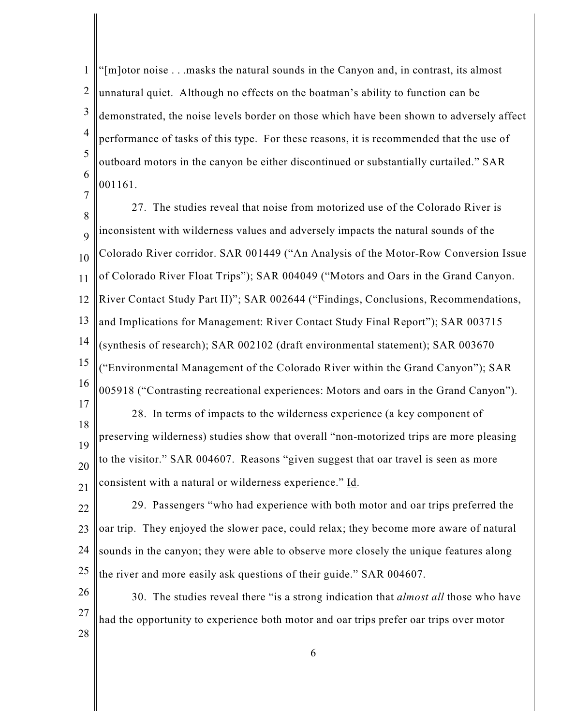1 2 3 4 5 6 "[m]otor noise . . .masks the natural sounds in the Canyon and, in contrast, its almost unnatural quiet. Although no effects on the boatman's ability to function can be demonstrated, the noise levels border on those which have been shown to adversely affect performance of tasks of this type. For these reasons, it is recommended that the use of outboard motors in the canyon be either discontinued or substantially curtailed." SAR 001161.

7

8 9 10 11 12 13 14 15 16 17 18 27. The studies reveal that noise from motorized use of the Colorado River is inconsistent with wilderness values and adversely impacts the natural sounds of the Colorado River corridor. SAR 001449 ("An Analysis of the Motor-Row Conversion Issue of Colorado River Float Trips"); SAR 004049 ("Motors and Oars in the Grand Canyon. River Contact Study Part II)"; SAR 002644 ("Findings, Conclusions, Recommendations, and Implications for Management: River Contact Study Final Report"); SAR 003715 (synthesis of research); SAR 002102 (draft environmental statement); SAR 003670 ("Environmental Management of the Colorado River within the Grand Canyon"); SAR 005918 ("Contrasting recreational experiences: Motors and oars in the Grand Canyon"). 28. In terms of impacts to the wilderness experience (a key component of

19 20 21 preserving wilderness) studies show that overall "non-motorized trips are more pleasing to the visitor." SAR 004607. Reasons "given suggest that oar travel is seen as more consistent with a natural or wilderness experience." Id.

22 23 24 25 29. Passengers "who had experience with both motor and oar trips preferred the oar trip. They enjoyed the slower pace, could relax; they become more aware of natural sounds in the canyon; they were able to observe more closely the unique features along the river and more easily ask questions of their guide." SAR 004607.

26 27 28 30. The studies reveal there "is a strong indication that *almost all* those who have had the opportunity to experience both motor and oar trips prefer oar trips over motor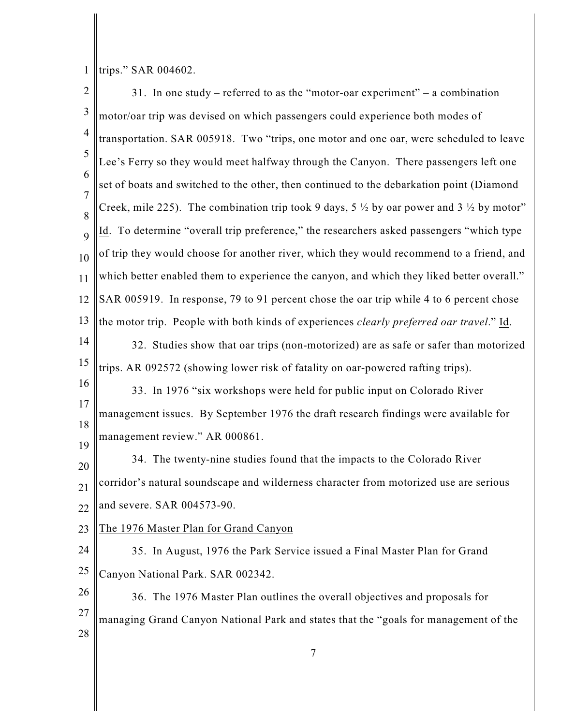1 |trips." SAR 004602.

| $\sqrt{2}$          | 31. In one study – referred to as the "motor-oar experiment" – a combination                                 |
|---------------------|--------------------------------------------------------------------------------------------------------------|
| $\mathfrak{Z}$      | motor/oar trip was devised on which passengers could experience both modes of                                |
| $\overline{4}$      | transportation. SAR 005918. Two "trips, one motor and one oar, were scheduled to leave                       |
| 5                   | Lee's Ferry so they would meet halfway through the Canyon. There passengers left one                         |
| 6                   | set of boats and switched to the other, then continued to the debarkation point (Diamond                     |
| $\overline{7}$<br>8 | Creek, mile 225). The combination trip took 9 days, $5\frac{1}{2}$ by oar power and $3\frac{1}{2}$ by motor" |
| 9                   | Id. To determine "overall trip preference," the researchers asked passengers "which type                     |
| 10                  | of trip they would choose for another river, which they would recommend to a friend, and                     |
| 11                  | which better enabled them to experience the canyon, and which they liked better overall."                    |
| 12                  | SAR 005919. In response, 79 to 91 percent chose the oar trip while 4 to 6 percent chose                      |
| 13                  | the motor trip. People with both kinds of experiences <i>clearly preferred oar travel</i> ." Id.             |
| 14                  | 32. Studies show that oar trips (non-motorized) are as safe or safer than motorized                          |
| 15                  | trips. AR 092572 (showing lower risk of fatality on oar-powered rafting trips).                              |
| 16                  | 33. In 1976 "six workshops were held for public input on Colorado River                                      |
| 17                  | management issues. By September 1976 the draft research findings were available for                          |
| 18<br>19            | management review." AR 000861.                                                                               |
| 20                  | 34. The twenty-nine studies found that the impacts to the Colorado River                                     |
| 21                  | corridor's natural soundscape and wilderness character from motorized use are serious                        |
| 22                  | and severe. SAR 004573-90.                                                                                   |
| 23                  | The 1976 Master Plan for Grand Canyon                                                                        |
| 24                  | 35. In August, 1976 the Park Service issued a Final Master Plan for Grand                                    |
| 25                  | Canyon National Park. SAR 002342.                                                                            |
| 26                  | 36. The 1976 Master Plan outlines the overall objectives and proposals for                                   |
| 27                  | managing Grand Canyon National Park and states that the "goals for management of the                         |
| 28                  |                                                                                                              |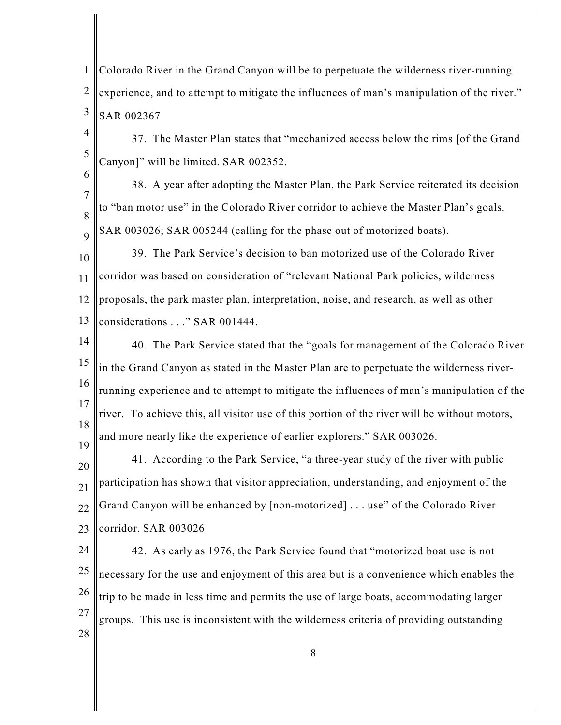1 2 3 Colorado River in the Grand Canyon will be to perpetuate the wilderness river-running experience, and to attempt to mitigate the influences of man's manipulation of the river." SAR 002367

4 5 37. The Master Plan states that "mechanized access below the rims [of the Grand Canyon]" will be limited. SAR 002352.

6 7

8 9 38. A year after adopting the Master Plan, the Park Service reiterated its decision to "ban motor use" in the Colorado River corridor to achieve the Master Plan's goals. SAR 003026; SAR 005244 (calling for the phase out of motorized boats).

10 11 12 13 39. The Park Service's decision to ban motorized use of the Colorado River corridor was based on consideration of "relevant National Park policies, wilderness proposals, the park master plan, interpretation, noise, and research, as well as other considerations . . ." SAR 001444.

- 14 15 16 17 18 19 40. The Park Service stated that the "goals for management of the Colorado River in the Grand Canyon as stated in the Master Plan are to perpetuate the wilderness riverrunning experience and to attempt to mitigate the influences of man's manipulation of the river. To achieve this, all visitor use of this portion of the river will be without motors, and more nearly like the experience of earlier explorers." SAR 003026.
- 20 21 22 23 41. According to the Park Service, "a three-year study of the river with public participation has shown that visitor appreciation, understanding, and enjoyment of the Grand Canyon will be enhanced by [non-motorized] . . . use" of the Colorado River corridor. SAR 003026

24 25 26 27 28 42. As early as 1976, the Park Service found that "motorized boat use is not necessary for the use and enjoyment of this area but is a convenience which enables the trip to be made in less time and permits the use of large boats, accommodating larger groups. This use is inconsistent with the wilderness criteria of providing outstanding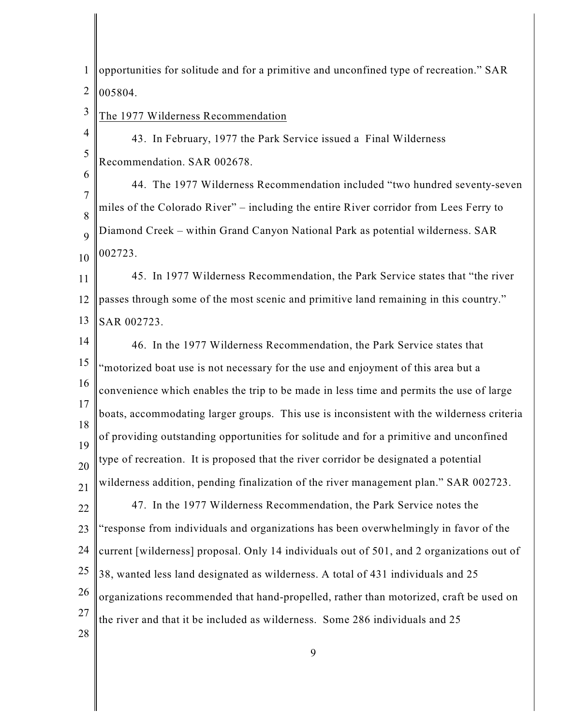1 2 opportunities for solitude and for a primitive and unconfined type of recreation." SAR 005804.

3 The 1977 Wilderness Recommendation

6

4 5 43. In February, 1977 the Park Service issued a Final Wilderness Recommendation. SAR 002678.

7 8 9 10 44. The 1977 Wilderness Recommendation included "two hundred seventy-seven miles of the Colorado River" – including the entire River corridor from Lees Ferry to Diamond Creek – within Grand Canyon National Park as potential wilderness. SAR 002723.

11 12 13 45. In 1977 Wilderness Recommendation, the Park Service states that "the river passes through some of the most scenic and primitive land remaining in this country." SAR 002723.

14 15 16 17 18 19 20 21 22 23 24 25 26 27 28 46. In the 1977 Wilderness Recommendation, the Park Service states that "motorized boat use is not necessary for the use and enjoyment of this area but a convenience which enables the trip to be made in less time and permits the use of large boats, accommodating larger groups. This use is inconsistent with the wilderness criteria of providing outstanding opportunities for solitude and for a primitive and unconfined type of recreation. It is proposed that the river corridor be designated a potential wilderness addition, pending finalization of the river management plan." SAR 002723. 47. In the 1977 Wilderness Recommendation, the Park Service notes the "response from individuals and organizations has been overwhelmingly in favor of the current [wilderness] proposal. Only 14 individuals out of 501, and 2 organizations out of 38, wanted less land designated as wilderness. A total of 431 individuals and 25 organizations recommended that hand-propelled, rather than motorized, craft be used on the river and that it be included as wilderness. Some 286 individuals and 25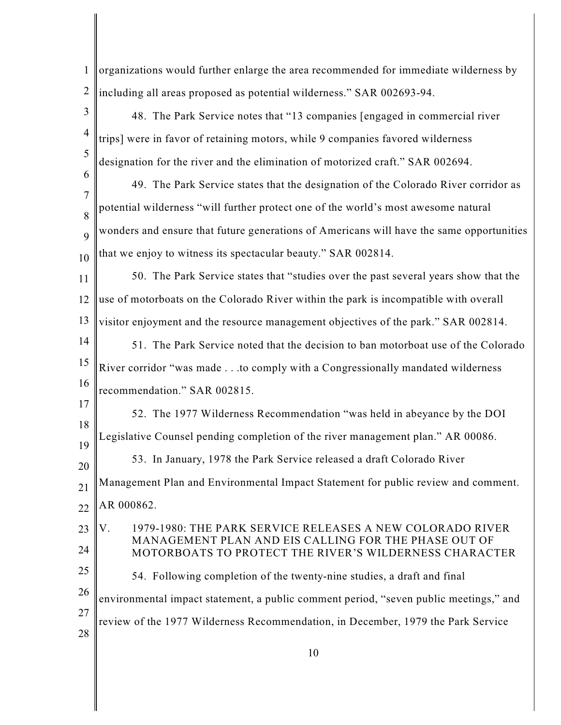1 2 organizations would further enlarge the area recommended for immediate wilderness by including all areas proposed as potential wilderness." SAR 002693-94.

3 4 5 6 7 8 9 10 11 12 13 14 15 16 17 18 19 20 21 22 23 24 25 26 27 28 48. The Park Service notes that "13 companies [engaged in commercial river trips] were in favor of retaining motors, while 9 companies favored wilderness designation for the river and the elimination of motorized craft." SAR 002694. 49. The Park Service states that the designation of the Colorado River corridor as potential wilderness "will further protect one of the world's most awesome natural wonders and ensure that future generations of Americans will have the same opportunities that we enjoy to witness its spectacular beauty." SAR 002814. 50. The Park Service states that "studies over the past several years show that the use of motorboats on the Colorado River within the park is incompatible with overall visitor enjoyment and the resource management objectives of the park." SAR 002814. 51. The Park Service noted that the decision to ban motorboat use of the Colorado River corridor "was made . . .to comply with a Congressionally mandated wilderness recommendation." SAR 002815. 52. The 1977 Wilderness Recommendation "was held in abeyance by the DOI Legislative Counsel pending completion of the river management plan." AR 00086. 53. In January, 1978 the Park Service released a draft Colorado River Management Plan and Environmental Impact Statement for public review and comment. AR 000862. V. 1979-1980: THE PARK SERVICE RELEASES A NEW COLORADO RIVER MANAGEMENT PLAN AND EIS CALLING FOR THE PHASE OUT OF MOTORBOATS TO PROTECT THE RIVER'S WILDERNESS CHARACTER 54. Following completion of the twenty-nine studies, a draft and final environmental impact statement, a public comment period, "seven public meetings," and review of the 1977 Wilderness Recommendation, in December, 1979 the Park Service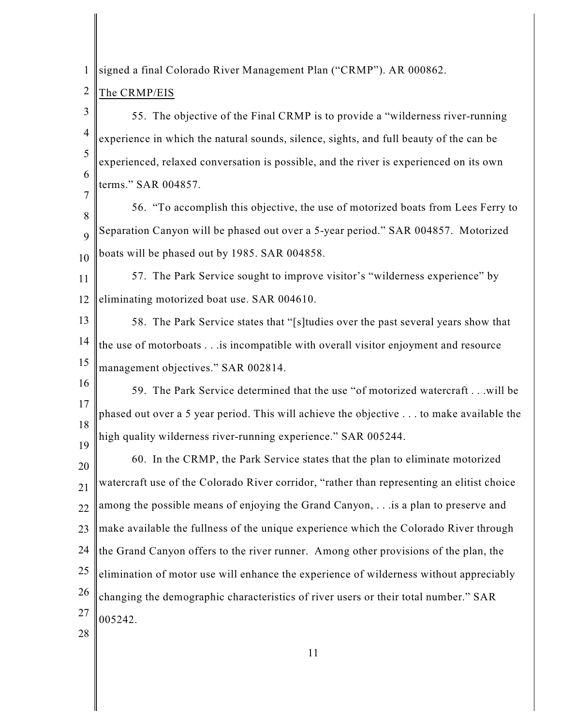1 signed a final Colorado River Management Plan ("CRMP"). AR 000862.

## 2 The CRMP/EIS

7

3 4 5 6 55. The objective of the Final CRMP is to provide a "wilderness river-running experience in which the natural sounds, silence, sights, and full beauty of the can be experienced, relaxed conversation is possible, and the river is experienced on its own terms." SAR 004857.

8 9 10 56. "To accomplish this objective, the use of motorized boats from Lees Ferry to Separation Canyon will be phased out over a 5-year period." SAR 004857. Motorized boats will be phased out by 1985. SAR 004858.

11 12 57. The Park Service sought to improve visitor's "wilderness experience" by eliminating motorized boat use. SAR 004610.

13 14 15 58. The Park Service states that "[s]tudies over the past several years show that the use of motorboats . . .is incompatible with overall visitor enjoyment and resource management objectives." SAR 002814.

16 17 18 19 59. The Park Service determined that the use "of motorized watercraft . . .will be phased out over a 5 year period. This will achieve the objective . . . to make available the high quality wilderness river-running experience." SAR 005244.

20 21 22 23 24 25 26 27 60. In the CRMP, the Park Service states that the plan to eliminate motorized watercraft use of the Colorado River corridor, "rather than representing an elitist choice among the possible means of enjoying the Grand Canyon, . . .is a plan to preserve and make available the fullness of the unique experience which the Colorado River through the Grand Canyon offers to the river runner. Among other provisions of the plan, the elimination of motor use will enhance the experience of wilderness without appreciably changing the demographic characteristics of river users or their total number." SAR 005242.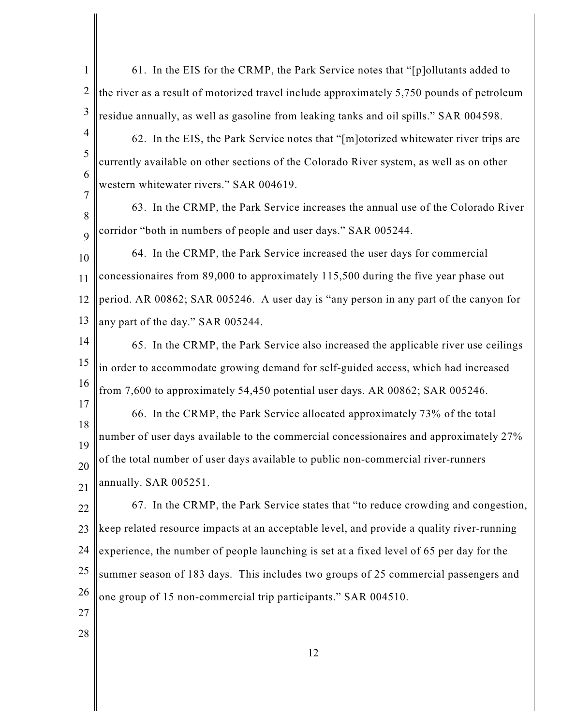1 2 3 4 5 6 7 8 9 10 11 12 13 14 15 16 17 18 19 20 21 22 23 24 25 26 27 28 12 61. In the EIS for the CRMP, the Park Service notes that "[p]ollutants added to the river as a result of motorized travel include approximately 5,750 pounds of petroleum residue annually, as well as gasoline from leaking tanks and oil spills." SAR 004598. 62. In the EIS, the Park Service notes that "[m]otorized whitewater river trips are currently available on other sections of the Colorado River system, as well as on other western whitewater rivers." SAR 004619. 63. In the CRMP, the Park Service increases the annual use of the Colorado River corridor "both in numbers of people and user days." SAR 005244. 64. In the CRMP, the Park Service increased the user days for commercial concessionaires from 89,000 to approximately 115,500 during the five year phase out period. AR 00862; SAR 005246. A user day is "any person in any part of the canyon for any part of the day." SAR 005244. 65. In the CRMP, the Park Service also increased the applicable river use ceilings in order to accommodate growing demand for self-guided access, which had increased from 7,600 to approximately 54,450 potential user days. AR 00862; SAR 005246. 66. In the CRMP, the Park Service allocated approximately 73% of the total number of user days available to the commercial concessionaires and approximately 27% of the total number of user days available to public non-commercial river-runners annually. SAR 005251. 67. In the CRMP, the Park Service states that "to reduce crowding and congestion, keep related resource impacts at an acceptable level, and provide a quality river-running experience, the number of people launching is set at a fixed level of 65 per day for the summer season of 183 days. This includes two groups of 25 commercial passengers and one group of 15 non-commercial trip participants." SAR 004510.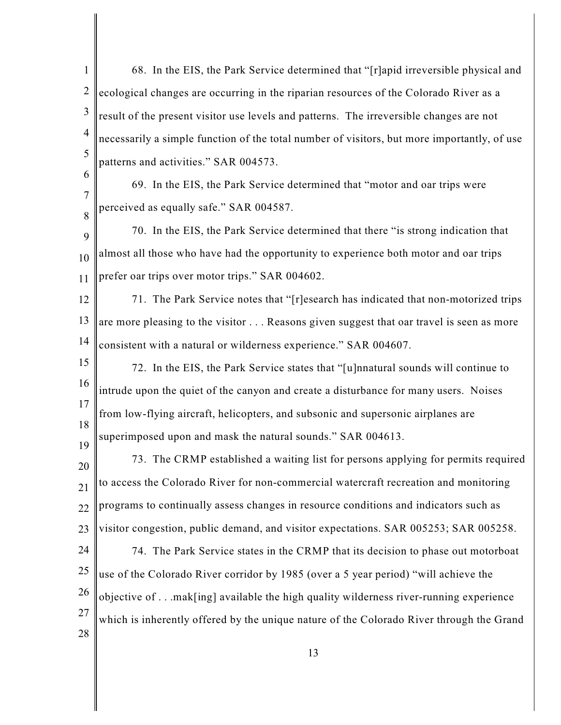| 1               | 68. In the EIS, the Park Service determined that "[r]apid irreversible physical and         |
|-----------------|---------------------------------------------------------------------------------------------|
| $\overline{2}$  | ecological changes are occurring in the riparian resources of the Colorado River as a       |
| $\mathfrak{Z}$  | result of the present visitor use levels and patterns. The irreversible changes are not     |
| $\overline{4}$  | necessarily a simple function of the total number of visitors, but more importantly, of use |
| 5               | patterns and activities." SAR 004573.                                                       |
| 6               | 69. In the EIS, the Park Service determined that "motor and oar trips were                  |
| 7<br>8          | perceived as equally safe." SAR 004587.                                                     |
| 9               | 70. In the EIS, the Park Service determined that there "is strong indication that           |
| 10              | almost all those who have had the opportunity to experience both motor and oar trips        |
| 11              | prefer oar trips over motor trips." SAR 004602.                                             |
| 12              | 71. The Park Service notes that "[r]esearch has indicated that non-motorized trips          |
| 13              | are more pleasing to the visitor Reasons given suggest that oar travel is seen as more      |
| 14              | consistent with a natural or wilderness experience." SAR 004607.                            |
| 15              | 72. In the EIS, the Park Service states that "[u]nnatural sounds will continue to           |
| 16              | intrude upon the quiet of the canyon and create a disturbance for many users. Noises        |
| 17              | from low-flying aircraft, helicopters, and subsonic and supersonic airplanes are            |
| 18<br>19        | superimposed upon and mask the natural sounds." SAR 004613.                                 |
| 20              | 73. The CRMP established a waiting list for persons applying for permits required           |
| $\overline{21}$ | to access the Colorado River for non-commercial watercraft recreation and monitoring        |
| 22              | programs to continually assess changes in resource conditions and indicators such as        |
| 23              | visitor congestion, public demand, and visitor expectations. SAR 005253; SAR 005258.        |
| 24              | 74. The Park Service states in the CRMP that its decision to phase out motorboat            |
| 25              | use of the Colorado River corridor by 1985 (over a 5 year period) "will achieve the         |
| 26              | objective of mak[ing] available the high quality wilderness river-running experience        |
| 27              | which is inherently offered by the unique nature of the Colorado River through the Grand    |
| 28              | 1 <sub>2</sub>                                                                              |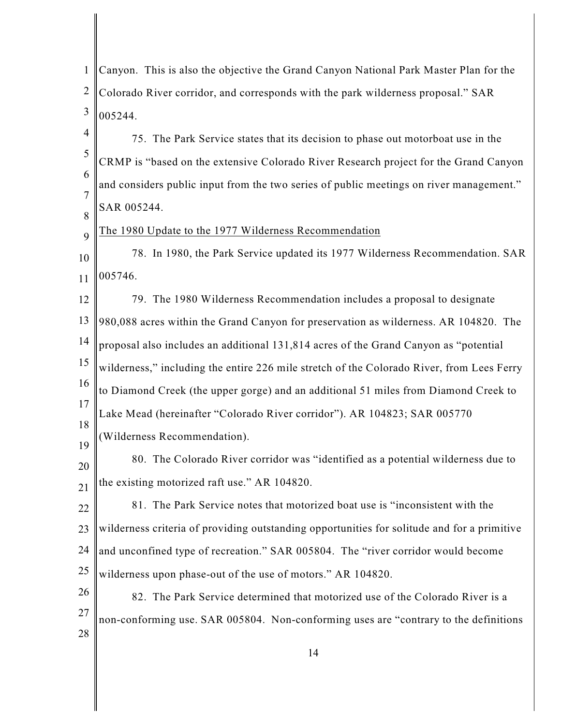| $\mathbf{1}$        | Canyon. This is also the objective the Grand Canyon National Park Master Plan for the       |
|---------------------|---------------------------------------------------------------------------------------------|
| $\overline{2}$      | Colorado River corridor, and corresponds with the park wilderness proposal." SAR            |
| $\mathfrak{Z}$      | 005244.                                                                                     |
| $\overline{4}$      | 75. The Park Service states that its decision to phase out motorboat use in the             |
| 5                   | CRMP is "based on the extensive Colorado River Research project for the Grand Canyon        |
| 6                   | and considers public input from the two series of public meetings on river management."     |
| $\overline{7}$<br>8 | SAR 005244.                                                                                 |
| 9                   | The 1980 Update to the 1977 Wilderness Recommendation                                       |
| 10                  | 78. In 1980, the Park Service updated its 1977 Wilderness Recommendation. SAR               |
| 11                  | 005746.                                                                                     |
| 12                  | 79. The 1980 Wilderness Recommendation includes a proposal to designate                     |
| 13                  | 980,088 acres within the Grand Canyon for preservation as wilderness. AR 104820. The        |
| 14                  | proposal also includes an additional 131,814 acres of the Grand Canyon as "potential        |
| 15                  | wilderness," including the entire 226 mile stretch of the Colorado River, from Lees Ferry   |
| 16                  | to Diamond Creek (the upper gorge) and an additional 51 miles from Diamond Creek to         |
| 17                  | Lake Mead (hereinafter "Colorado River corridor"). AR 104823; SAR 005770                    |
| 18<br>19            | (Wilderness Recommendation).                                                                |
| 20                  | 80. The Colorado River corridor was "identified as a potential wilderness due to            |
| 21                  | the existing motorized raft use." AR 104820.                                                |
| 22                  | 81. The Park Service notes that motorized boat use is "inconsistent with the                |
| 23                  | wilderness criteria of providing outstanding opportunities for solitude and for a primitive |
| 24                  | and unconfined type of recreation." SAR 005804. The "river corridor would become            |
| 25                  | wilderness upon phase-out of the use of motors." AR 104820.                                 |
| 26                  | 82. The Park Service determined that motorized use of the Colorado River is a               |
| 27                  | non-conforming use. SAR 005804. Non-conforming uses are "contrary to the definitions        |
| 28                  |                                                                                             |
|                     | 14                                                                                          |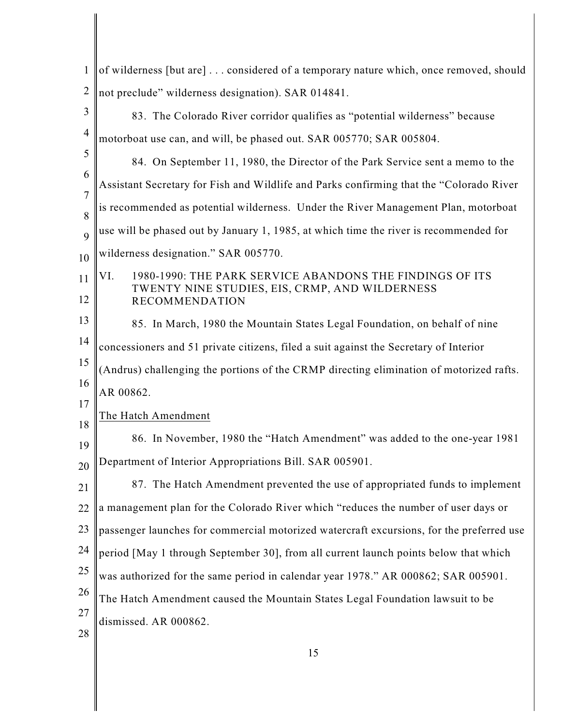| $\mathbf{1}$        | of wilderness [but are] considered of a temporary nature which, once removed, should     |
|---------------------|------------------------------------------------------------------------------------------|
| $\mathbf{2}$        | not preclude" wilderness designation). SAR 014841.                                       |
| 3                   | 83. The Colorado River corridor qualifies as "potential wilderness" because              |
| 4                   | motorboat use can, and will, be phased out. SAR 005770; SAR 005804.                      |
| 5                   | 84. On September 11, 1980, the Director of the Park Service sent a memo to the           |
| 6                   | Assistant Secretary for Fish and Wildlife and Parks confirming that the "Colorado River  |
| $\overline{7}$<br>8 | is recommended as potential wilderness. Under the River Management Plan, motorboat       |
| 9                   | use will be phased out by January 1, 1985, at which time the river is recommended for    |
| 10                  | wilderness designation." SAR 005770.                                                     |
| 11                  | VI.<br>1980-1990: THE PARK SERVICE ABANDONS THE FINDINGS OF ITS                          |
| 12                  | TWENTY NINE STUDIES, EIS, CRMP, AND WILDERNESS<br><b>RECOMMENDATION</b>                  |
| 13                  | 85. In March, 1980 the Mountain States Legal Foundation, on behalf of nine               |
| 14                  | concessioners and 51 private citizens, filed a suit against the Secretary of Interior    |
| 15                  | (Andrus) challenging the portions of the CRMP directing elimination of motorized rafts.  |
| 16                  | AR 00862.                                                                                |
| 17<br>18            | The Hatch Amendment                                                                      |
| 19                  | 86. In November, 1980 the "Hatch Amendment" was added to the one-year 1981               |
| 20                  | Department of Interior Appropriations Bill. SAR 005901.                                  |
| 21                  | 87. The Hatch Amendment prevented the use of appropriated funds to implement             |
| 22                  | a management plan for the Colorado River which "reduces the number of user days or       |
| 23                  | passenger launches for commercial motorized watercraft excursions, for the preferred use |
| 24                  | period [May 1 through September 30], from all current launch points below that which     |
| 25                  | was authorized for the same period in calendar year 1978." AR 000862; SAR 005901.        |
| 26                  | The Hatch Amendment caused the Mountain States Legal Foundation lawsuit to be            |
| 27                  | dismissed. AR 000862.                                                                    |
| 28                  |                                                                                          |

I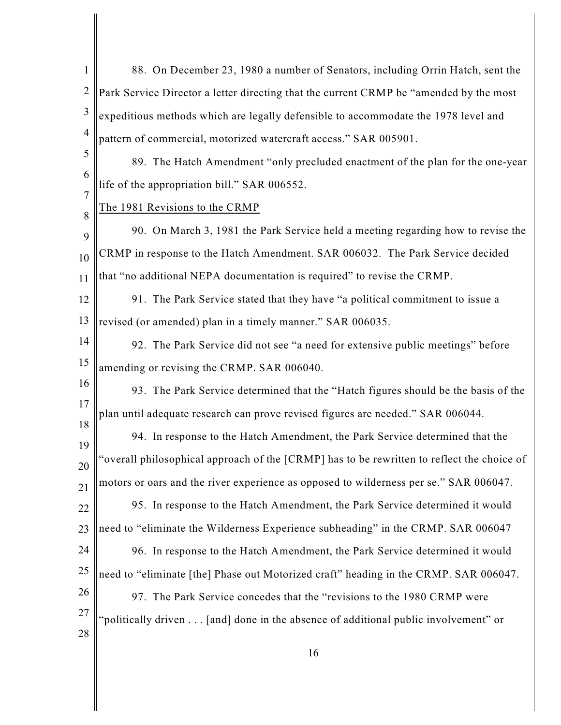| $\mathbf{1}$   | 88. On December 23, 1980 a number of Senators, including Orrin Hatch, sent the             |
|----------------|--------------------------------------------------------------------------------------------|
| $\overline{2}$ | Park Service Director a letter directing that the current CRMP be "amended by the most     |
| 3              | expeditious methods which are legally defensible to accommodate the 1978 level and         |
| 4              | pattern of commercial, motorized watercraft access." SAR 005901.                           |
| 5              | 89. The Hatch Amendment "only precluded enactment of the plan for the one-year             |
| 6<br>7         | life of the appropriation bill." SAR 006552.                                               |
| 8              | The 1981 Revisions to the CRMP                                                             |
| 9              | 90. On March 3, 1981 the Park Service held a meeting regarding how to revise the           |
| 10             | CRMP in response to the Hatch Amendment. SAR 006032. The Park Service decided              |
| 11             | that "no additional NEPA documentation is required" to revise the CRMP.                    |
| 12             | 91. The Park Service stated that they have "a political commitment to issue a              |
| 13             | revised (or amended) plan in a timely manner." SAR 006035.                                 |
| 14             | 92. The Park Service did not see "a need for extensive public meetings" before             |
| 15             | amending or revising the CRMP. SAR 006040.                                                 |
| 16             | 93. The Park Service determined that the "Hatch figures should be the basis of the         |
| 17             | plan until adequate research can prove revised figures are needed." SAR 006044.            |
| 18<br>19       | 94. In response to the Hatch Amendment, the Park Service determined that the               |
| 20             | "overall philosophical approach of the [CRMP] has to be rewritten to reflect the choice of |
| 21             | motors or oars and the river experience as opposed to wilderness per se." SAR 006047.      |
| 22             | 95. In response to the Hatch Amendment, the Park Service determined it would               |
| 23             | need to "eliminate the Wilderness Experience subheading" in the CRMP. SAR 006047           |
| 24             | 96. In response to the Hatch Amendment, the Park Service determined it would               |
| 25             | need to "eliminate [the] Phase out Motorized craft" heading in the CRMP. SAR 006047.       |
| 26             | 97. The Park Service concedes that the "revisions to the 1980 CRMP were                    |
| 27             | "politically driven [and] done in the absence of additional public involvement" or         |
| 28             |                                                                                            |

I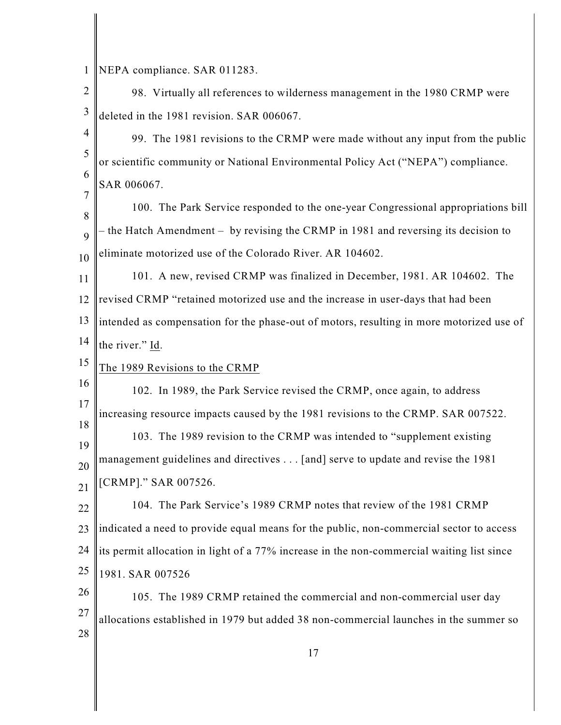1 NEPA compliance. SAR 011283.

- 2 3 98. Virtually all references to wilderness management in the 1980 CRMP were deleted in the 1981 revision. SAR 006067.
- 4 5 6 99. The 1981 revisions to the CRMP were made without any input from the public or scientific community or National Environmental Policy Act ("NEPA") compliance. SAR 006067.
- 8 9 10 100. The Park Service responded to the one-year Congressional appropriations bill – the Hatch Amendment – by revising the CRMP in 1981 and reversing its decision to eliminate motorized use of the Colorado River. AR 104602.
- 11 12 13 14 101. A new, revised CRMP was finalized in December, 1981. AR 104602. The revised CRMP "retained motorized use and the increase in user-days that had been intended as compensation for the phase-out of motors, resulting in more motorized use of the river." Id.
- 15 The 1989 Revisions to the CRMP
- 16 17 18 19 20 21 102. In 1989, the Park Service revised the CRMP, once again, to address increasing resource impacts caused by the 1981 revisions to the CRMP. SAR 007522. 103. The 1989 revision to the CRMP was intended to "supplement existing management guidelines and directives . . . [and] serve to update and revise the 1981 [CRMP]." SAR 007526.
- 22 23 24 25 104. The Park Service's 1989 CRMP notes that review of the 1981 CRMP indicated a need to provide equal means for the public, non-commercial sector to access its permit allocation in light of a 77% increase in the non-commercial waiting list since 1981. SAR 007526
- 26 27 28 105. The 1989 CRMP retained the commercial and non-commercial user day allocations established in 1979 but added 38 non-commercial launches in the summer so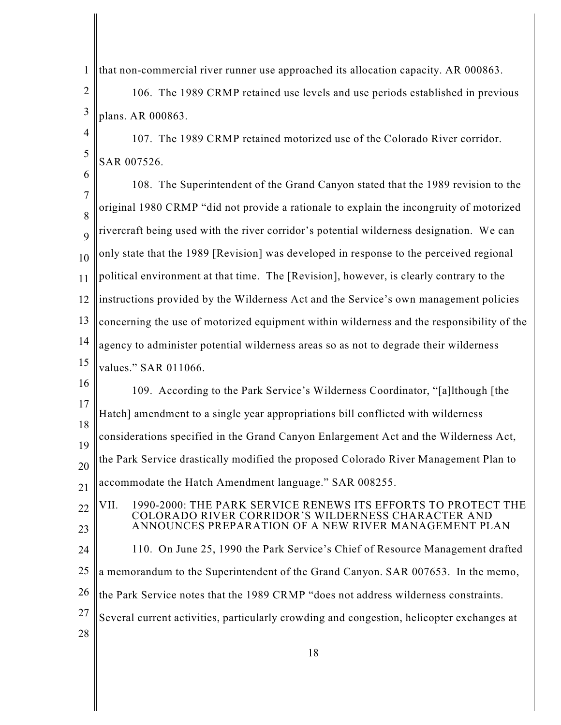1 that non-commercial river runner use approached its allocation capacity. AR 000863.

2 3 106. The 1989 CRMP retained use levels and use periods established in previous plans. AR 000863.

4 5 107. The 1989 CRMP retained motorized use of the Colorado River corridor. SAR 007526.

6

7 8 9 10 11 12 13 14 15 16 17 18 19 108. The Superintendent of the Grand Canyon stated that the 1989 revision to the original 1980 CRMP "did not provide a rationale to explain the incongruity of motorized rivercraft being used with the river corridor's potential wilderness designation. We can only state that the 1989 [Revision] was developed in response to the perceived regional political environment at that time. The [Revision], however, is clearly contrary to the instructions provided by the Wilderness Act and the Service's own management policies concerning the use of motorized equipment within wilderness and the responsibility of the agency to administer potential wilderness areas so as not to degrade their wilderness values." SAR 011066. 109. According to the Park Service's Wilderness Coordinator, "[a]lthough [the Hatch] amendment to a single year appropriations bill conflicted with wilderness considerations specified in the Grand Canyon Enlargement Act and the Wilderness Act,

20 the Park Service drastically modified the proposed Colorado River Management Plan to

21 accommodate the Hatch Amendment language." SAR 008255.

22 23 24 25 26 27 28 VII. 1990-2000: THE PARK SERVICE RENEWS ITS EFFORTS TO PROTECT THE COLORADO RIVER CORRIDOR'S WILDERNESS CHARACTER AND ANNOUNCES PREPARATION OF A NEW RIVER MANAGEMENT PLAN 110. On June 25, 1990 the Park Service's Chief of Resource Management drafted a memorandum to the Superintendent of the Grand Canyon. SAR 007653. In the memo, the Park Service notes that the 1989 CRMP "does not address wilderness constraints. Several current activities, particularly crowding and congestion, helicopter exchanges at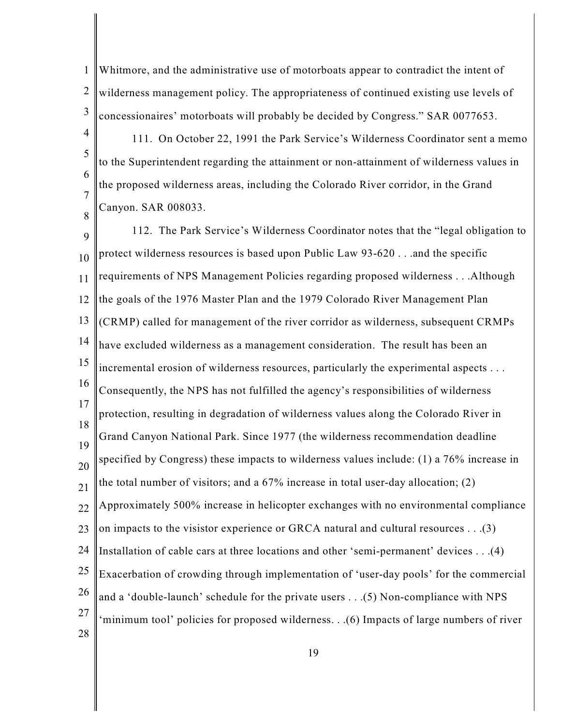1 2 3 Whitmore, and the administrative use of motorboats appear to contradict the intent of wilderness management policy. The appropriateness of continued existing use levels of concessionaires' motorboats will probably be decided by Congress." SAR 0077653.

4 5 6 7 111. On October 22, 1991 the Park Service's Wilderness Coordinator sent a memo to the Superintendent regarding the attainment or non-attainment of wilderness values in the proposed wilderness areas, including the Colorado River corridor, in the Grand

Canyon. SAR 008033.

8

9 10 11 12 13 14 15 16 17 18 19 20 21 22 23 24 25 26 27 28 112. The Park Service's Wilderness Coordinator notes that the "legal obligation to protect wilderness resources is based upon Public Law 93-620 . . .and the specific requirements of NPS Management Policies regarding proposed wilderness . . .Although the goals of the 1976 Master Plan and the 1979 Colorado River Management Plan (CRMP) called for management of the river corridor as wilderness, subsequent CRMPs have excluded wilderness as a management consideration. The result has been an incremental erosion of wilderness resources, particularly the experimental aspects . . . Consequently, the NPS has not fulfilled the agency's responsibilities of wilderness protection, resulting in degradation of wilderness values along the Colorado River in Grand Canyon National Park. Since 1977 (the wilderness recommendation deadline specified by Congress) these impacts to wilderness values include: (1) a 76% increase in the total number of visitors; and a 67% increase in total user-day allocation; (2) Approximately 500% increase in helicopter exchanges with no environmental compliance on impacts to the visistor experience or GRCA natural and cultural resources . . .(3) Installation of cable cars at three locations and other 'semi-permanent' devices . . .(4) Exacerbation of crowding through implementation of 'user-day pools' for the commercial and a 'double-launch' schedule for the private users . . .(5) Non-compliance with NPS 'minimum tool' policies for proposed wilderness. . .(6) Impacts of large numbers of river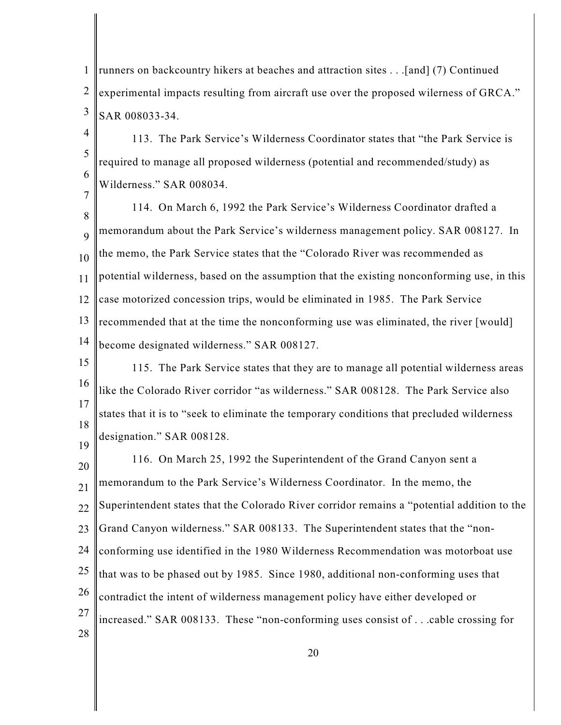1 2 3 runners on backcountry hikers at beaches and attraction sites . . .[and] (7) Continued experimental impacts resulting from aircraft use over the proposed wilerness of GRCA." SAR 008033-34.

4 5 6 7 113. The Park Service's Wilderness Coordinator states that "the Park Service is required to manage all proposed wilderness (potential and recommended/study) as Wilderness." SAR 008034.

8 9 10 11 12 13 14 114. On March 6, 1992 the Park Service's Wilderness Coordinator drafted a memorandum about the Park Service's wilderness management policy. SAR 008127. In the memo, the Park Service states that the "Colorado River was recommended as potential wilderness, based on the assumption that the existing nonconforming use, in this case motorized concession trips, would be eliminated in 1985. The Park Service recommended that at the time the nonconforming use was eliminated, the river [would] become designated wilderness." SAR 008127.

15 16 17 18 19 115. The Park Service states that they are to manage all potential wilderness areas like the Colorado River corridor "as wilderness." SAR 008128. The Park Service also states that it is to "seek to eliminate the temporary conditions that precluded wilderness designation." SAR 008128.

20 21 22 23 24 25 26 27 28 116. On March 25, 1992 the Superintendent of the Grand Canyon sent a memorandum to the Park Service's Wilderness Coordinator. In the memo, the Superintendent states that the Colorado River corridor remains a "potential addition to the Grand Canyon wilderness." SAR 008133. The Superintendent states that the "nonconforming use identified in the 1980 Wilderness Recommendation was motorboat use that was to be phased out by 1985. Since 1980, additional non-conforming uses that contradict the intent of wilderness management policy have either developed or increased." SAR 008133. These "non-conforming uses consist of . . .cable crossing for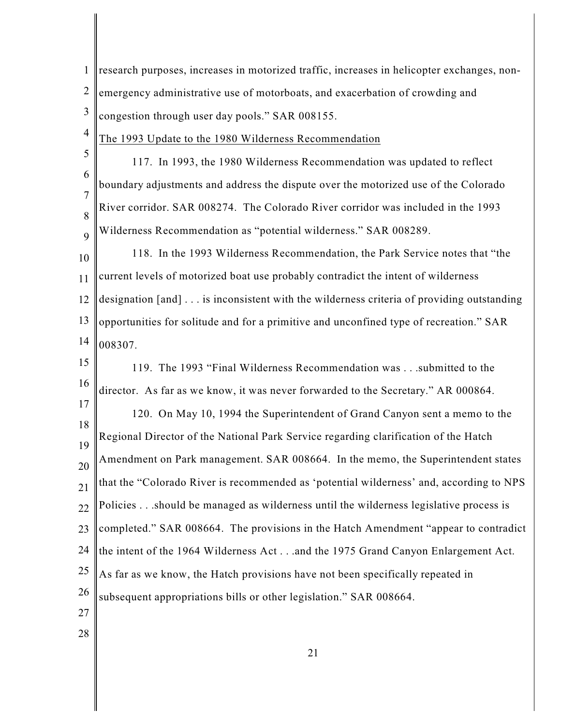| 1                   | research purposes, increases in motorized traffic, increases in helicopter exchanges, non- |
|---------------------|--------------------------------------------------------------------------------------------|
| $\overline{2}$      | emergency administrative use of motorboats, and exacerbation of crowding and               |
| 3                   | congestion through user day pools." SAR 008155.                                            |
| $\overline{4}$      | The 1993 Update to the 1980 Wilderness Recommendation                                      |
| 5                   | 117. In 1993, the 1980 Wilderness Recommendation was updated to reflect                    |
| 6                   | boundary adjustments and address the dispute over the motorized use of the Colorado        |
| $\overline{7}$<br>8 | River corridor. SAR 008274. The Colorado River corridor was included in the 1993           |
| 9                   | Wilderness Recommendation as "potential wilderness." SAR 008289.                           |
| 10                  | 118. In the 1993 Wilderness Recommendation, the Park Service notes that "the               |
| 11                  | current levels of motorized boat use probably contradict the intent of wilderness          |
| 12                  | designation [and] is inconsistent with the wilderness criteria of providing outstanding    |
| 13                  | opportunities for solitude and for a primitive and unconfined type of recreation." SAR     |
| 14                  | 008307.                                                                                    |
| 15                  | 119. The 1993 "Final Wilderness Recommendation was submitted to the                        |
| 16                  | director. As far as we know, it was never forwarded to the Secretary." AR 000864.          |
| 17                  | 120. On May 10, 1994 the Superintendent of Grand Canyon sent a memo to the                 |
| 18                  | Regional Director of the National Park Service regarding clarification of the Hatch        |
| 19                  | Amendment on Park management. SAR 008664. In the memo, the Superintendent states           |
| 20<br>21            | that the "Colorado River is recommended as 'potential wilderness' and, according to NPS    |
| 22                  | Policiesshould be managed as wilderness until the wilderness legislative process is        |
| 23                  | completed." SAR 008664. The provisions in the Hatch Amendment "appear to contradict        |
| 24                  | the intent of the 1964 Wilderness Actand the 1975 Grand Canyon Enlargement Act.            |
| 25                  | As far as we know, the Hatch provisions have not been specifically repeated in             |
| 26                  | subsequent appropriations bills or other legislation." SAR 008664.                         |
| 27                  |                                                                                            |
| 28                  |                                                                                            |

I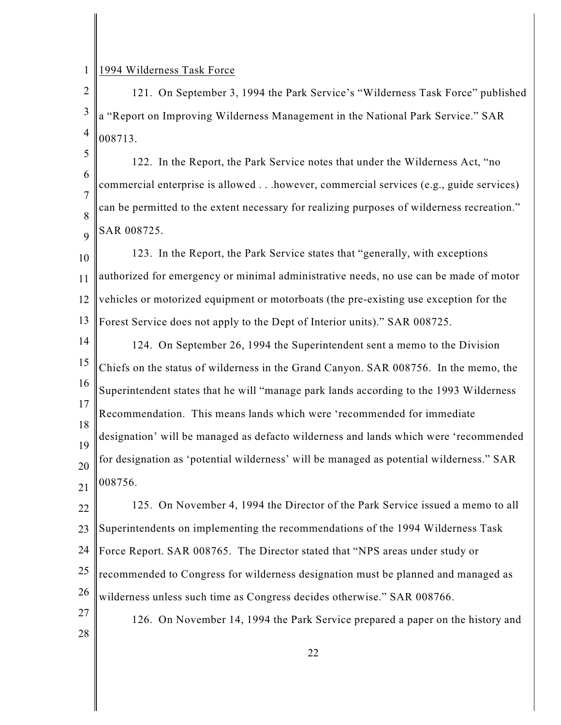1 1994 Wilderness Task Force

2 3 4 121. On September 3, 1994 the Park Service's "Wilderness Task Force" published a "Report on Improving Wilderness Management in the National Park Service." SAR 008713.

5 6 7 8 9 122. In the Report, the Park Service notes that under the Wilderness Act, "no commercial enterprise is allowed . . .however, commercial services (e.g., guide services) can be permitted to the extent necessary for realizing purposes of wilderness recreation." SAR 008725.

10 11 12 13 123. In the Report, the Park Service states that "generally, with exceptions authorized for emergency or minimal administrative needs, no use can be made of motor vehicles or motorized equipment or motorboats (the pre-existing use exception for the Forest Service does not apply to the Dept of Interior units)." SAR 008725.

14 15 16 17 18 19 20 21 124. On September 26, 1994 the Superintendent sent a memo to the Division Chiefs on the status of wilderness in the Grand Canyon. SAR 008756. In the memo, the Superintendent states that he will "manage park lands according to the 1993 Wilderness Recommendation. This means lands which were 'recommended for immediate designation' will be managed as defacto wilderness and lands which were 'recommended for designation as 'potential wilderness' will be managed as potential wilderness." SAR 008756.

22 23 24 25 26 27 125. On November 4, 1994 the Director of the Park Service issued a memo to all Superintendents on implementing the recommendations of the 1994 Wilderness Task Force Report. SAR 008765. The Director stated that "NPS areas under study or recommended to Congress for wilderness designation must be planned and managed as wilderness unless such time as Congress decides otherwise." SAR 008766. 126. On November 14, 1994 the Park Service prepared a paper on the history and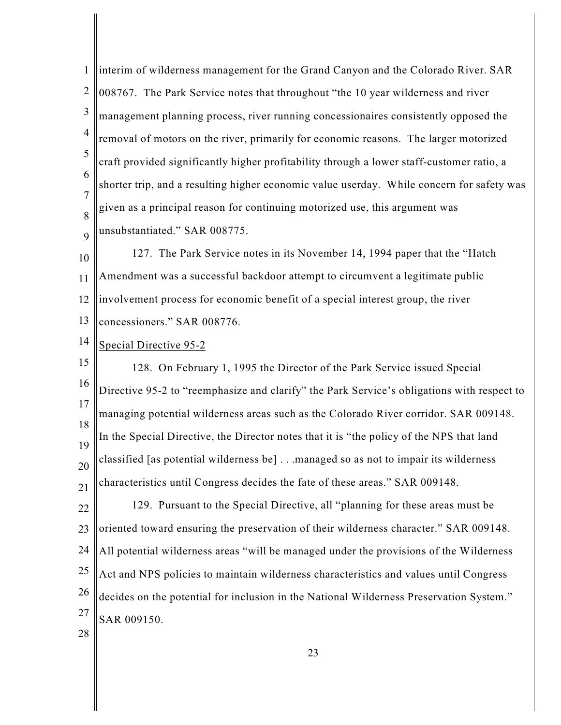1 2 3 4 5 6 7 8 9 10 11 12 13 14 15 16 17 18 19 20 21 22 23 24 25 26 27 28 interim of wilderness management for the Grand Canyon and the Colorado River. SAR 008767. The Park Service notes that throughout "the 10 year wilderness and river management planning process, river running concessionaires consistently opposed the removal of motors on the river, primarily for economic reasons. The larger motorized craft provided significantly higher profitability through a lower staff-customer ratio, a shorter trip, and a resulting higher economic value userday. While concern for safety was given as a principal reason for continuing motorized use, this argument was unsubstantiated." SAR 008775. 127. The Park Service notes in its November 14, 1994 paper that the "Hatch Amendment was a successful backdoor attempt to circumvent a legitimate public involvement process for economic benefit of a special interest group, the river concessioners." SAR 008776. Special Directive 95-2 128. On February 1, 1995 the Director of the Park Service issued Special Directive 95-2 to "reemphasize and clarify" the Park Service's obligations with respect to managing potential wilderness areas such as the Colorado River corridor. SAR 009148. In the Special Directive, the Director notes that it is "the policy of the NPS that land classified [as potential wilderness be] . . .managed so as not to impair its wilderness characteristics until Congress decides the fate of these areas." SAR 009148. 129. Pursuant to the Special Directive, all "planning for these areas must be oriented toward ensuring the preservation of their wilderness character." SAR 009148. All potential wilderness areas "will be managed under the provisions of the Wilderness Act and NPS policies to maintain wilderness characteristics and values until Congress decides on the potential for inclusion in the National Wilderness Preservation System." SAR 009150.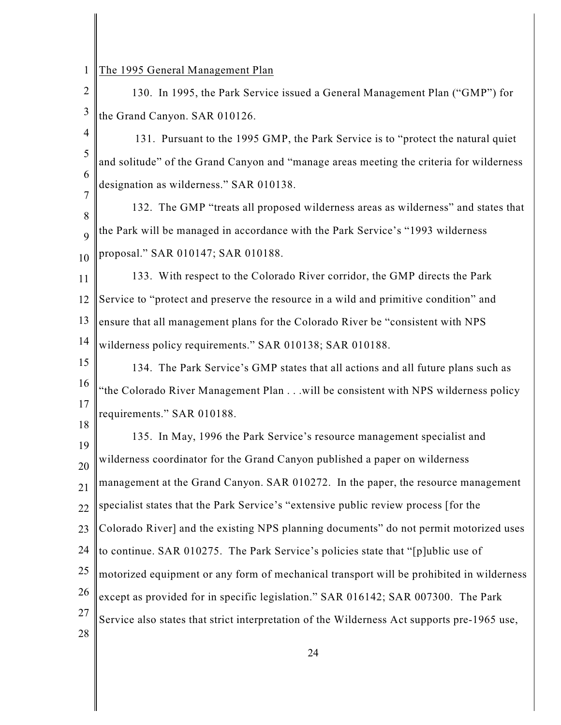| $\sqrt{2}$     | 130. In 1995, the Park Service issued a General Management Plan ("GMP") for                 |
|----------------|---------------------------------------------------------------------------------------------|
| $\mathfrak{Z}$ | the Grand Canyon. SAR 010126.                                                               |
| $\overline{4}$ | 131. Pursuant to the 1995 GMP, the Park Service is to "protect the natural quiet            |
| 5              | and solitude" of the Grand Canyon and "manage areas meeting the criteria for wilderness     |
| 6              | designation as wilderness." SAR 010138.                                                     |
| 7              | 132. The GMP "treats all proposed wilderness areas as wilderness" and states that           |
| 8<br>9         | the Park will be managed in accordance with the Park Service's "1993 wilderness             |
| 10             | proposal." SAR 010147; SAR 010188.                                                          |
| 11             | 133. With respect to the Colorado River corridor, the GMP directs the Park                  |
| 12             | Service to "protect and preserve the resource in a wild and primitive condition" and        |
| 13             | ensure that all management plans for the Colorado River be "consistent with NPS             |
| 14             | wilderness policy requirements." SAR 010138; SAR 010188.                                    |
| 15             | 134. The Park Service's GMP states that all actions and all future plans such as            |
| 16             | 'the Colorado River Management Plan will be consistent with NPS wilderness policy           |
| 17             | requirements." SAR 010188.                                                                  |
| 18             | 135. In May, 1996 the Park Service's resource management specialist and                     |
| 19             | wilderness coordinator for the Grand Canyon published a paper on wilderness                 |
| 20<br>21       | management at the Grand Canyon. SAR 010272. In the paper, the resource management           |
| 22             | specialist states that the Park Service's "extensive public review process [for the         |
| 23             | Colorado River] and the existing NPS planning documents" do not permit motorized uses       |
| 24             | to continue. SAR 010275. The Park Service's policies state that "[p]ublic use of            |
| 25             | motorized equipment or any form of mechanical transport will be prohibited in wilderness    |
| 26             | except as provided for in specific legislation." SAR 016142; SAR 007300. The Park           |
| 27             | Service also states that strict interpretation of the Wilderness Act supports pre-1965 use, |
| 28             |                                                                                             |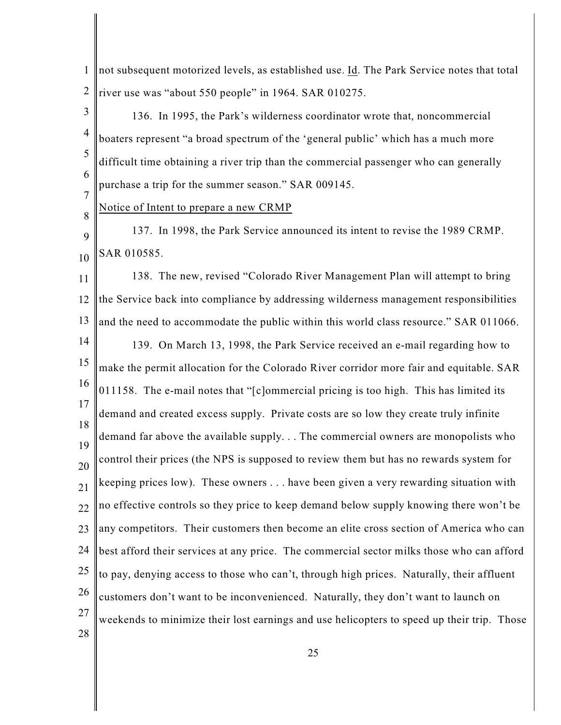1 2 not subsequent motorized levels, as established use. Id. The Park Service notes that total river use was "about 550 people" in 1964. SAR 010275.

3 4 5 6 7 136. In 1995, the Park's wilderness coordinator wrote that, noncommercial boaters represent "a broad spectrum of the 'general public' which has a much more difficult time obtaining a river trip than the commercial passenger who can generally purchase a trip for the summer season." SAR 009145.

## 8 Notice of Intent to prepare a new CRMP

9 10 137. In 1998, the Park Service announced its intent to revise the 1989 CRMP. SAR 010585.

11 12 13 14 15 16 17 18 19 20 21 22 23 24 25 26 27 28 138. The new, revised "Colorado River Management Plan will attempt to bring the Service back into compliance by addressing wilderness management responsibilities and the need to accommodate the public within this world class resource." SAR 011066. 139. On March 13, 1998, the Park Service received an e-mail regarding how to make the permit allocation for the Colorado River corridor more fair and equitable. SAR 011158. The e-mail notes that "[c]ommercial pricing is too high. This has limited its demand and created excess supply. Private costs are so low they create truly infinite demand far above the available supply. . . The commercial owners are monopolists who control their prices (the NPS is supposed to review them but has no rewards system for keeping prices low). These owners . . . have been given a very rewarding situation with no effective controls so they price to keep demand below supply knowing there won't be any competitors. Their customers then become an elite cross section of America who can best afford their services at any price. The commercial sector milks those who can afford to pay, denying access to those who can't, through high prices. Naturally, their affluent customers don't want to be inconvenienced. Naturally, they don't want to launch on weekends to minimize their lost earnings and use helicopters to speed up their trip. Those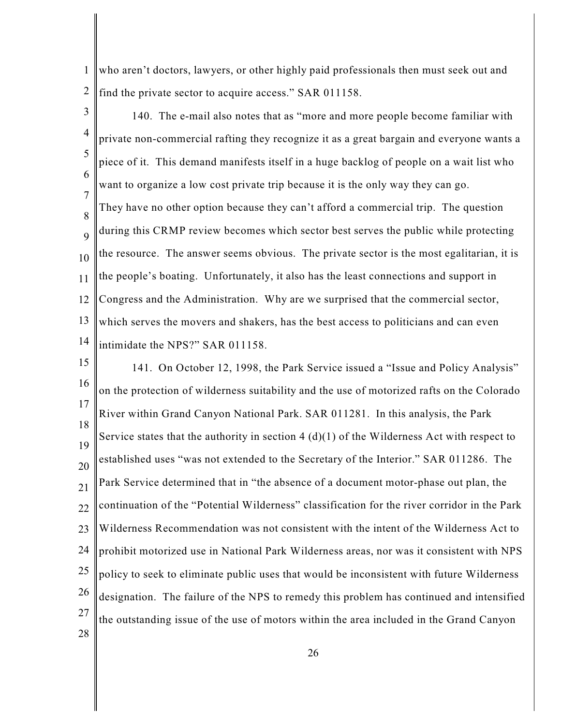1 2 who aren't doctors, lawyers, or other highly paid professionals then must seek out and find the private sector to acquire access." SAR 011158.

3

4 5 6 7 8 9 10 11 12 13 14 140. The e-mail also notes that as "more and more people become familiar with private non-commercial rafting they recognize it as a great bargain and everyone wants a piece of it. This demand manifests itself in a huge backlog of people on a wait list who want to organize a low cost private trip because it is the only way they can go. They have no other option because they can't afford a commercial trip. The question during this CRMP review becomes which sector best serves the public while protecting the resource. The answer seems obvious. The private sector is the most egalitarian, it is the people's boating. Unfortunately, it also has the least connections and support in Congress and the Administration. Why are we surprised that the commercial sector, which serves the movers and shakers, has the best access to politicians and can even intimidate the NPS?" SAR 011158.

15 16 17 18 19 20 21 22 23 24 25 26 27 28 141. On October 12, 1998, the Park Service issued a "Issue and Policy Analysis" on the protection of wilderness suitability and the use of motorized rafts on the Colorado River within Grand Canyon National Park. SAR 011281. In this analysis, the Park Service states that the authority in section  $4(d)(1)$  of the Wilderness Act with respect to established uses "was not extended to the Secretary of the Interior." SAR 011286. The Park Service determined that in "the absence of a document motor-phase out plan, the continuation of the "Potential Wilderness" classification for the river corridor in the Park Wilderness Recommendation was not consistent with the intent of the Wilderness Act to prohibit motorized use in National Park Wilderness areas, nor was it consistent with NPS policy to seek to eliminate public uses that would be inconsistent with future Wilderness designation. The failure of the NPS to remedy this problem has continued and intensified the outstanding issue of the use of motors within the area included in the Grand Canyon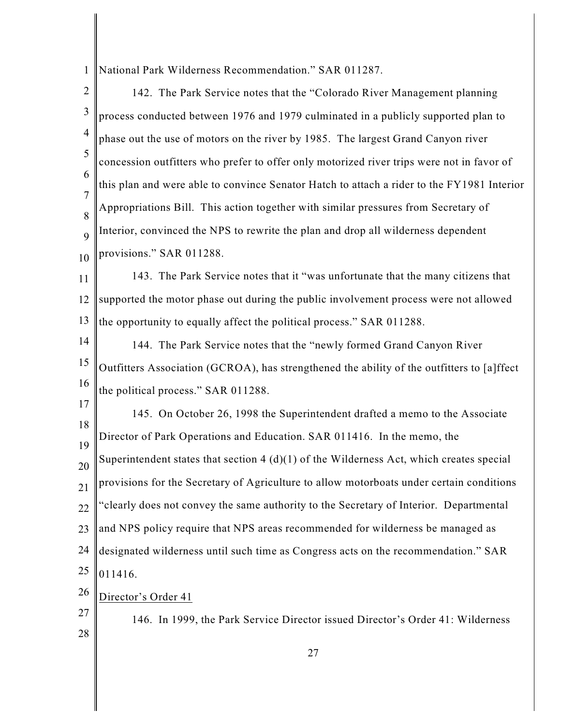1 National Park Wilderness Recommendation." SAR 011287.

2 3 4 5 6 7 8 9 10 11 12 13 14 15 16 17 18 19 20 21 22 23 24 25 26 27 142. The Park Service notes that the "Colorado River Management planning process conducted between 1976 and 1979 culminated in a publicly supported plan to phase out the use of motors on the river by 1985. The largest Grand Canyon river concession outfitters who prefer to offer only motorized river trips were not in favor of this plan and were able to convince Senator Hatch to attach a rider to the FY1981 Interior Appropriations Bill. This action together with similar pressures from Secretary of Interior, convinced the NPS to rewrite the plan and drop all wilderness dependent provisions." SAR 011288. 143. The Park Service notes that it "was unfortunate that the many citizens that supported the motor phase out during the public involvement process were not allowed the opportunity to equally affect the political process." SAR 011288. 144. The Park Service notes that the "newly formed Grand Canyon River Outfitters Association (GCROA), has strengthened the ability of the outfitters to [a]ffect the political process." SAR 011288. 145. On October 26, 1998 the Superintendent drafted a memo to the Associate Director of Park Operations and Education. SAR 011416. In the memo, the Superintendent states that section  $4(d)(1)$  of the Wilderness Act, which creates special provisions for the Secretary of Agriculture to allow motorboats under certain conditions "clearly does not convey the same authority to the Secretary of Interior. Departmental and NPS policy require that NPS areas recommended for wilderness be managed as designated wilderness until such time as Congress acts on the recommendation." SAR 011416. Director's Order 41 146. In 1999, the Park Service Director issued Director's Order 41: Wilderness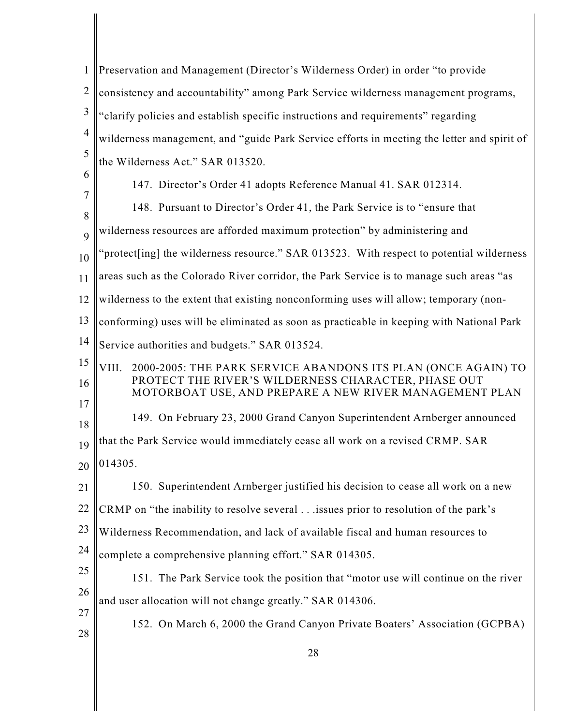| $\mathbf{1}$   | Preservation and Management (Director's Wilderness Order) in order "to provide"                               |
|----------------|---------------------------------------------------------------------------------------------------------------|
| $\overline{2}$ | consistency and accountability" among Park Service wilderness management programs,                            |
| 3              | "clarify policies and establish specific instructions and requirements" regarding                             |
| $\overline{4}$ | wilderness management, and "guide Park Service efforts in meeting the letter and spirit of                    |
| 5              | the Wilderness Act." SAR 013520.                                                                              |
| 6              | 147. Director's Order 41 adopts Reference Manual 41. SAR 012314.                                              |
| 7<br>8         | 148. Pursuant to Director's Order 41, the Park Service is to "ensure that                                     |
| 9              | wilderness resources are afforded maximum protection" by administering and                                    |
| 10             | 'protect[ing] the wilderness resource." SAR 013523. With respect to potential wilderness                      |
| 11             | areas such as the Colorado River corridor, the Park Service is to manage such areas "as                       |
| 12             | wilderness to the extent that existing nonconforming uses will allow; temporary (non-                         |
| 13             | conforming) uses will be eliminated as soon as practicable in keeping with National Park                      |
| 14             | Service authorities and budgets." SAR 013524.                                                                 |
| 15             | VIII.<br>2000-2005: THE PARK SERVICE ABANDONS ITS PLAN (ONCE AGAIN) TO                                        |
| 16             | PROTECT THE RIVER'S WILDERNESS CHARACTER, PHASE OUT<br>MOTORBOAT USE, AND PREPARE A NEW RIVER MANAGEMENT PLAN |
| 17<br>18       | 149. On February 23, 2000 Grand Canyon Superintendent Arnberger announced                                     |
| 19             | that the Park Service would immediately cease all work on a revised CRMP. SAR                                 |
|                | 20 014305.                                                                                                    |
| 21             | 150. Superintendent Arnberger justified his decision to cease all work on a new                               |
| 22             | CRMP on "the inability to resolve several issues prior to resolution of the park's                            |
| 23             | Wilderness Recommendation, and lack of available fiscal and human resources to                                |
| 24             | complete a comprehensive planning effort." SAR 014305.                                                        |
| 25             | 151. The Park Service took the position that "motor use will continue on the river                            |
| 26             | and user allocation will not change greatly." SAR 014306.                                                     |
| 27<br>28       | 152. On March 6, 2000 the Grand Canyon Private Boaters' Association (GCPBA)                                   |
|                | 28                                                                                                            |
|                |                                                                                                               |

║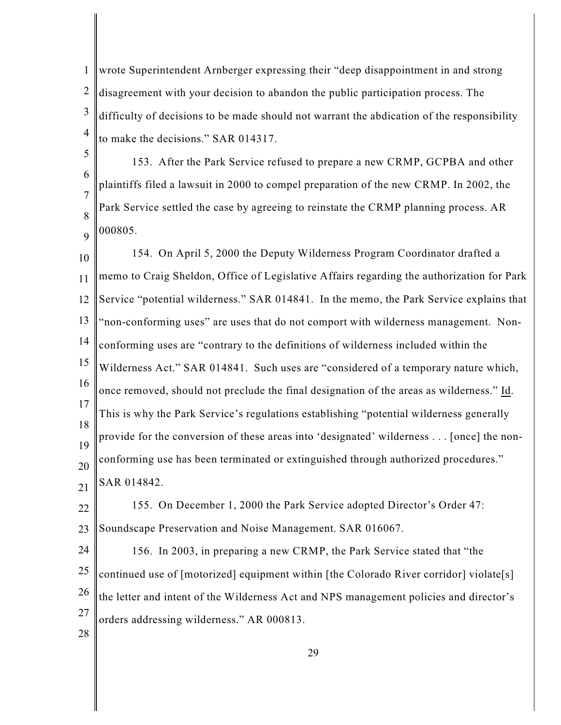1 2 3 4 wrote Superintendent Arnberger expressing their "deep disappointment in and strong disagreement with your decision to abandon the public participation process. The difficulty of decisions to be made should not warrant the abdication of the responsibility to make the decisions." SAR 014317.

5 6 7 8 9 153. After the Park Service refused to prepare a new CRMP, GCPBA and other plaintiffs filed a lawsuit in 2000 to compel preparation of the new CRMP. In 2002, the Park Service settled the case by agreeing to reinstate the CRMP planning process. AR 000805.

10 11 12 13 14 15 16 17 18 19 20 21 154. On April 5, 2000 the Deputy Wilderness Program Coordinator drafted a memo to Craig Sheldon, Office of Legislative Affairs regarding the authorization for Park Service "potential wilderness." SAR 014841. In the memo, the Park Service explains that "non-conforming uses" are uses that do not comport with wilderness management. Nonconforming uses are "contrary to the definitions of wilderness included within the Wilderness Act." SAR 014841. Such uses are "considered of a temporary nature which, once removed, should not preclude the final designation of the areas as wilderness." Id. This is why the Park Service's regulations establishing "potential wilderness generally provide for the conversion of these areas into 'designated' wilderness . . . [once] the nonconforming use has been terminated or extinguished through authorized procedures." SAR 014842.

22 23 155. On December 1, 2000 the Park Service adopted Director's Order 47: Soundscape Preservation and Noise Management. SAR 016067.

24 25 26 27 156. In 2003, in preparing a new CRMP, the Park Service stated that "the continued use of [motorized] equipment within [the Colorado River corridor] violate[s] the letter and intent of the Wilderness Act and NPS management policies and director's orders addressing wilderness." AR 000813.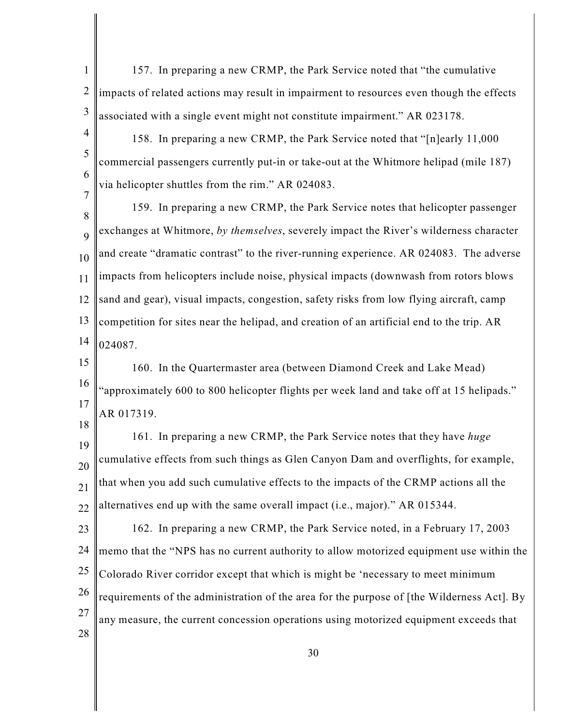- 1 2 3 157. In preparing a new CRMP, the Park Service noted that "the cumulative impacts of related actions may result in impairment to resources even though the effects associated with a single event might not constitute impairment." AR 023178.
- 4 5 6 7 158. In preparing a new CRMP, the Park Service noted that "[n]early 11,000 commercial passengers currently put-in or take-out at the Whitmore helipad (mile 187) via helicopter shuttles from the rim." AR 024083.

8 9 10 11 12 13 14 159. In preparing a new CRMP, the Park Service notes that helicopter passenger exchanges at Whitmore, *by themselves*, severely impact the River's wilderness character and create "dramatic contrast" to the river-running experience. AR 024083. The adverse impacts from helicopters include noise, physical impacts (downwash from rotors blows sand and gear), visual impacts, congestion, safety risks from low flying aircraft, camp competition for sites near the helipad, and creation of an artificial end to the trip. AR 024087.

15 16 17 18 160. In the Quartermaster area (between Diamond Creek and Lake Mead) "approximately 600 to 800 helicopter flights per week land and take off at 15 helipads." AR 017319.

19 20 21 22 161. In preparing a new CRMP, the Park Service notes that they have *huge* cumulative effects from such things as Glen Canyon Dam and overflights, for example, that when you add such cumulative effects to the impacts of the CRMP actions all the alternatives end up with the same overall impact (i.e., major)." AR 015344.

23 24 25 26 27 28 162. In preparing a new CRMP, the Park Service noted, in a February 17, 2003 memo that the "NPS has no current authority to allow motorized equipment use within the Colorado River corridor except that which is might be 'necessary to meet minimum requirements of the administration of the area for the purpose of [the Wilderness Act]. By any measure, the current concession operations using motorized equipment exceeds that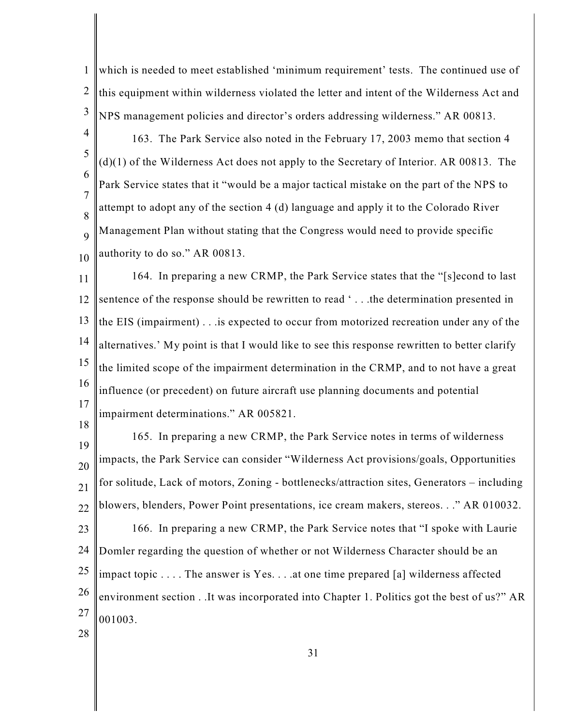1 2 3 which is needed to meet established 'minimum requirement' tests. The continued use of this equipment within wilderness violated the letter and intent of the Wilderness Act and NPS management policies and director's orders addressing wilderness." AR 00813.

4 5 6 7 8 9 10 163. The Park Service also noted in the February 17, 2003 memo that section 4 (d)(1) of the Wilderness Act does not apply to the Secretary of Interior. AR 00813. The Park Service states that it "would be a major tactical mistake on the part of the NPS to attempt to adopt any of the section 4 (d) language and apply it to the Colorado River Management Plan without stating that the Congress would need to provide specific authority to do so." AR 00813.

11 12 13 14 15 16 17 164. In preparing a new CRMP, the Park Service states that the "[s]econd to last sentence of the response should be rewritten to read ' . . .the determination presented in the EIS (impairment) . . .is expected to occur from motorized recreation under any of the alternatives.' My point is that I would like to see this response rewritten to better clarify the limited scope of the impairment determination in the CRMP, and to not have a great influence (or precedent) on future aircraft use planning documents and potential impairment determinations." AR 005821.

18

19 20 21 22 23 24 25 26 27 165. In preparing a new CRMP, the Park Service notes in terms of wilderness impacts, the Park Service can consider "Wilderness Act provisions/goals, Opportunities for solitude, Lack of motors, Zoning - bottlenecks/attraction sites, Generators – including blowers, blenders, Power Point presentations, ice cream makers, stereos. . ." AR 010032. 166. In preparing a new CRMP, the Park Service notes that "I spoke with Laurie Domler regarding the question of whether or not Wilderness Character should be an impact topic . . . . The answer is Yes. . . .at one time prepared [a] wilderness affected environment section . .It was incorporated into Chapter 1. Politics got the best of us?" AR 001003.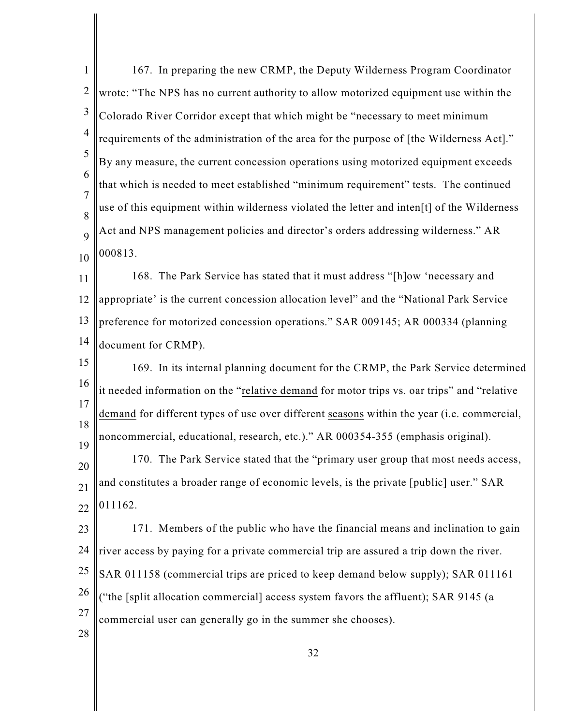1 2 3 4 5 6 7 8 9 10 11 12 13 14 15 16 17 18 19 20 21 22 23 24 25 26 27 28 167. In preparing the new CRMP, the Deputy Wilderness Program Coordinator wrote: "The NPS has no current authority to allow motorized equipment use within the Colorado River Corridor except that which might be "necessary to meet minimum requirements of the administration of the area for the purpose of [the Wilderness Act]." By any measure, the current concession operations using motorized equipment exceeds that which is needed to meet established "minimum requirement" tests. The continued use of this equipment within wilderness violated the letter and inten[t] of the Wilderness Act and NPS management policies and director's orders addressing wilderness." AR 000813. 168. The Park Service has stated that it must address "[h]ow 'necessary and appropriate' is the current concession allocation level" and the "National Park Service preference for motorized concession operations." SAR 009145; AR 000334 (planning document for CRMP). 169. In its internal planning document for the CRMP, the Park Service determined it needed information on the "relative demand for motor trips vs. oar trips" and "relative demand for different types of use over different seasons within the year (i.e. commercial, noncommercial, educational, research, etc.)." AR 000354-355 (emphasis original). 170. The Park Service stated that the "primary user group that most needs access, and constitutes a broader range of economic levels, is the private [public] user." SAR 011162. 171. Members of the public who have the financial means and inclination to gain river access by paying for a private commercial trip are assured a trip down the river. SAR 011158 (commercial trips are priced to keep demand below supply); SAR 011161 ("the [split allocation commercial] access system favors the affluent); SAR 9145 (a commercial user can generally go in the summer she chooses).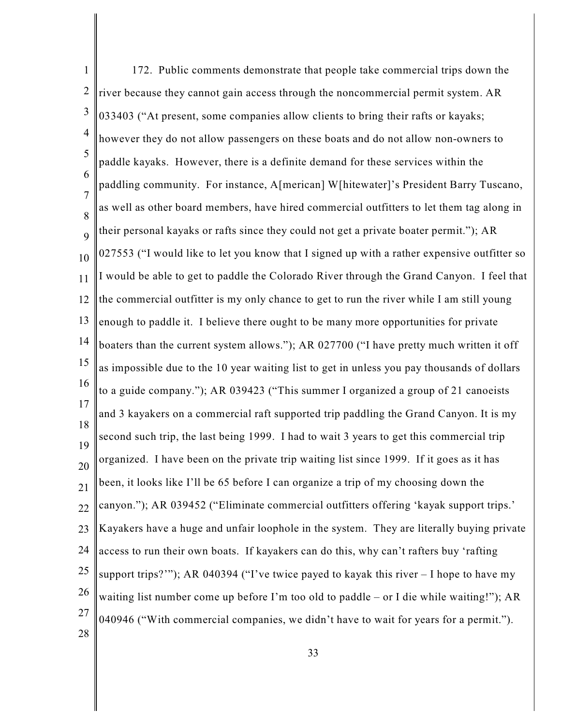1 2 3 4 5 6 7 8 9 10 11 12 13 14 15 16 17 18 19 20 21 22 23 24 25 26 27 28 172. Public comments demonstrate that people take commercial trips down the river because they cannot gain access through the noncommercial permit system. AR 033403 ("At present, some companies allow clients to bring their rafts or kayaks; however they do not allow passengers on these boats and do not allow non-owners to paddle kayaks. However, there is a definite demand for these services within the paddling community. For instance, A[merican] W[hitewater]'s President Barry Tuscano, as well as other board members, have hired commercial outfitters to let them tag along in their personal kayaks or rafts since they could not get a private boater permit."); AR 027553 ("I would like to let you know that I signed up with a rather expensive outfitter so I would be able to get to paddle the Colorado River through the Grand Canyon. I feel that the commercial outfitter is my only chance to get to run the river while I am still young enough to paddle it. I believe there ought to be many more opportunities for private boaters than the current system allows."); AR 027700 ("I have pretty much written it off as impossible due to the 10 year waiting list to get in unless you pay thousands of dollars to a guide company."); AR 039423 ("This summer I organized a group of 21 canoeists and 3 kayakers on a commercial raft supported trip paddling the Grand Canyon. It is my second such trip, the last being 1999. I had to wait 3 years to get this commercial trip organized. I have been on the private trip waiting list since 1999. If it goes as it has been, it looks like I'll be 65 before I can organize a trip of my choosing down the canyon."); AR 039452 ("Eliminate commercial outfitters offering 'kayak support trips.' Kayakers have a huge and unfair loophole in the system. They are literally buying private access to run their own boats. If kayakers can do this, why can't rafters buy 'rafting support trips?'"); AR 040394 ("I've twice payed to kayak this river – I hope to have my waiting list number come up before I'm too old to paddle – or I die while waiting!"); AR 040946 ("With commercial companies, we didn't have to wait for years for a permit.").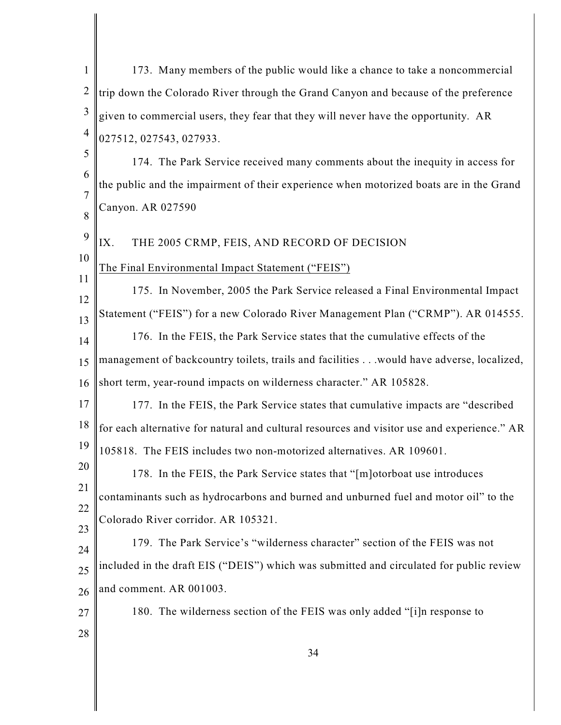| 1              | 173. Many members of the public would like a chance to take a noncommercial                 |
|----------------|---------------------------------------------------------------------------------------------|
| $\overline{2}$ | trip down the Colorado River through the Grand Canyon and because of the preference         |
| $\mathfrak{Z}$ | given to commercial users, they fear that they will never have the opportunity. AR          |
| $\overline{4}$ | 027512, 027543, 027933.                                                                     |
| 5              | 174. The Park Service received many comments about the inequity in access for               |
| 6              | the public and the impairment of their experience when motorized boats are in the Grand     |
| 7<br>8         | Canyon. AR 027590                                                                           |
| 9              | THE 2005 CRMP, FEIS, AND RECORD OF DECISION<br>IX.                                          |
| 10             | The Final Environmental Impact Statement ("FEIS")                                           |
| 11<br>12       | 175. In November, 2005 the Park Service released a Final Environmental Impact               |
| 13             | Statement ("FEIS") for a new Colorado River Management Plan ("CRMP"). AR 014555.            |
| 14             | 176. In the FEIS, the Park Service states that the cumulative effects of the                |
| 15             | management of backcountry toilets, trails and facilities would have adverse, localized,     |
| 16             | short term, year-round impacts on wilderness character." AR 105828.                         |
| 17             | 177. In the FEIS, the Park Service states that cumulative impacts are "described"           |
| 18             | for each alternative for natural and cultural resources and visitor use and experience." AR |
| 19             | 105818. The FEIS includes two non-motorized alternatives. AR 109601.                        |
| 20             | 178. In the FEIS, the Park Service states that "[m] otorboat use introduces                 |
| 21<br>22       | contaminants such as hydrocarbons and burned and unburned fuel and motor oil" to the        |
| 23             | Colorado River corridor. AR 105321.                                                         |
| 24             | 179. The Park Service's "wilderness character" section of the FEIS was not                  |
| 25             | included in the draft EIS ("DEIS") which was submitted and circulated for public review     |
| 26             | and comment. AR 001003.                                                                     |
| 27             | 180. The wilderness section of the FEIS was only added "[i]n response to                    |
| 28             |                                                                                             |
|                | 34                                                                                          |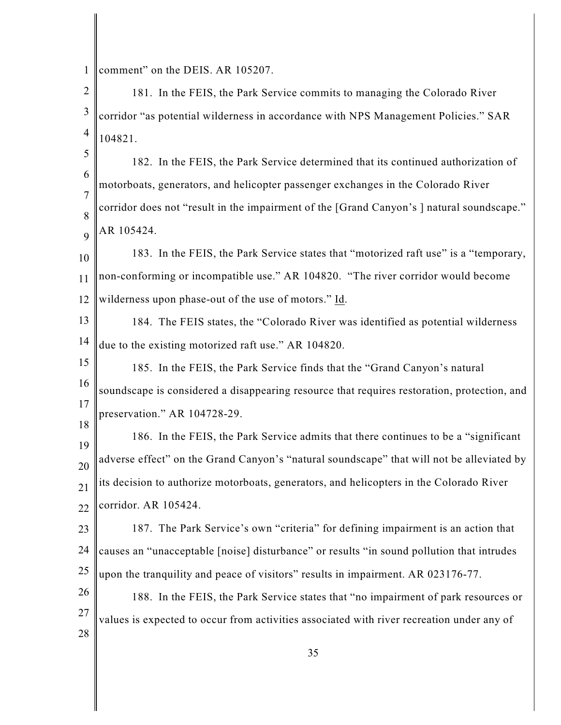1 comment" on the DEIS. AR 105207.

2 3 4 181. In the FEIS, the Park Service commits to managing the Colorado River corridor "as potential wilderness in accordance with NPS Management Policies." SAR 104821.

5 6 7 8 9 182. In the FEIS, the Park Service determined that its continued authorization of motorboats, generators, and helicopter passenger exchanges in the Colorado River corridor does not "result in the impairment of the [Grand Canyon's ] natural soundscape." AR 105424.

10 11 12 183. In the FEIS, the Park Service states that "motorized raft use" is a "temporary, non-conforming or incompatible use." AR 104820. "The river corridor would become wilderness upon phase-out of the use of motors." Id.

13 14 184. The FEIS states, the "Colorado River was identified as potential wilderness due to the existing motorized raft use." AR 104820.

15 16 17 18 185. In the FEIS, the Park Service finds that the "Grand Canyon's natural soundscape is considered a disappearing resource that requires restoration, protection, and preservation." AR 104728-29.

19 20 21 22 186. In the FEIS, the Park Service admits that there continues to be a "significant adverse effect" on the Grand Canyon's "natural soundscape" that will not be alleviated by its decision to authorize motorboats, generators, and helicopters in the Colorado River corridor. AR 105424.

23 24 25 187. The Park Service's own "criteria" for defining impairment is an action that causes an "unacceptable [noise] disturbance" or results "in sound pollution that intrudes upon the tranquility and peace of visitors" results in impairment. AR 023176-77.

26 27 28 188. In the FEIS, the Park Service states that "no impairment of park resources or values is expected to occur from activities associated with river recreation under any of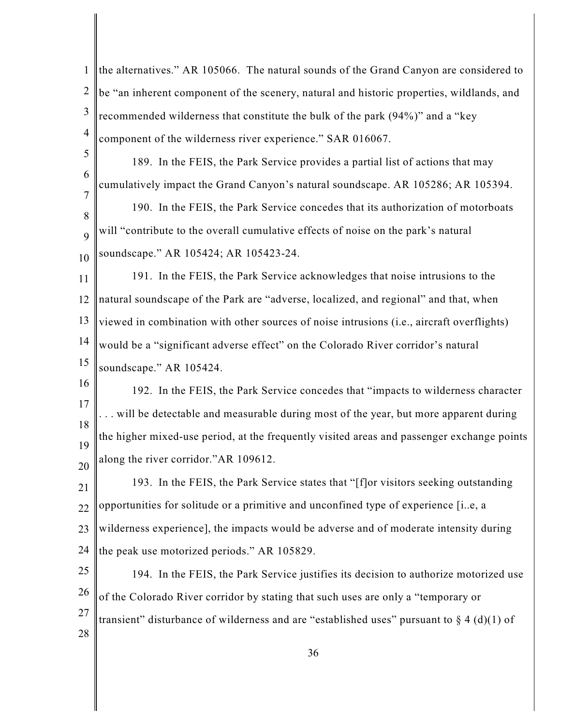| $\mathbf{1}$   | the alternatives." AR 105066. The natural sounds of the Grand Canyon are considered to       |
|----------------|----------------------------------------------------------------------------------------------|
| $\overline{2}$ | be "an inherent component of the scenery, natural and historic properties, wildlands, and    |
| 3              | recommended wilderness that constitute the bulk of the park (94%)" and a "key                |
| $\overline{4}$ | component of the wilderness river experience." SAR 016067.                                   |
| 5              | 189. In the FEIS, the Park Service provides a partial list of actions that may               |
| 6              | cumulatively impact the Grand Canyon's natural soundscape. AR 105286; AR 105394.             |
| 7<br>8         | 190. In the FEIS, the Park Service concedes that its authorization of motorboats             |
| 9              | will "contribute to the overall cumulative effects of noise on the park's natural            |
| 10             | soundscape." AR 105424; AR 105423-24.                                                        |
| 11             | 191. In the FEIS, the Park Service acknowledges that noise intrusions to the                 |
| 12             | natural soundscape of the Park are "adverse, localized, and regional" and that, when         |
| 13             | viewed in combination with other sources of noise intrusions (i.e., aircraft overflights)    |
| 14             | would be a "significant adverse effect" on the Colorado River corridor's natural             |
| 15             | soundscape." AR 105424.                                                                      |
| 16             | 192. In the FEIS, the Park Service concedes that "impacts to wilderness character"           |
| 17             | will be detectable and measurable during most of the year, but more apparent during          |
| 18<br>19       | the higher mixed-use period, at the frequently visited areas and passenger exchange points   |
| 20             | along the river corridor."AR 109612.                                                         |
| 21             | 193. In the FEIS, the Park Service states that "[f]or visitors seeking outstanding           |
| 22             | opportunities for solitude or a primitive and unconfined type of experience [ie, a           |
| 23             | wilderness experience], the impacts would be adverse and of moderate intensity during        |
| 24             | the peak use motorized periods." AR 105829.                                                  |
| 25             | 194. In the FEIS, the Park Service justifies its decision to authorize motorized use         |
| 26             | of the Colorado River corridor by stating that such uses are only a "temporary or            |
| 27             | transient" disturbance of wilderness and are "established uses" pursuant to $\S 4$ (d)(1) of |
| 28             | 36                                                                                           |
|                |                                                                                              |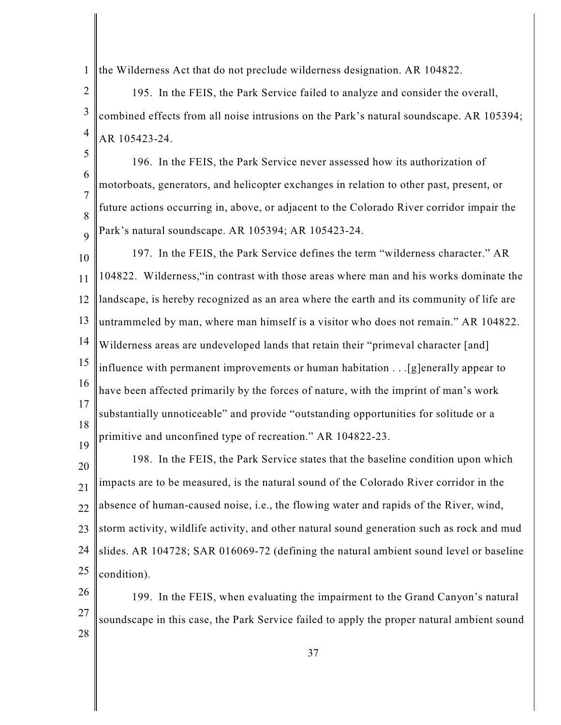1 the Wilderness Act that do not preclude wilderness designation. AR 104822.

2 3 4 195. In the FEIS, the Park Service failed to analyze and consider the overall, combined effects from all noise intrusions on the Park's natural soundscape. AR 105394; AR 105423-24.

5 6

7

8

9

196. In the FEIS, the Park Service never assessed how its authorization of motorboats, generators, and helicopter exchanges in relation to other past, present, or future actions occurring in, above, or adjacent to the Colorado River corridor impair the Park's natural soundscape. AR 105394; AR 105423-24.

10 11 12 13 14 15 16 17 18 19 197. In the FEIS, the Park Service defines the term "wilderness character." AR 104822. Wilderness,"in contrast with those areas where man and his works dominate the landscape, is hereby recognized as an area where the earth and its community of life are untrammeled by man, where man himself is a visitor who does not remain." AR 104822. Wilderness areas are undeveloped lands that retain their "primeval character [and] influence with permanent improvements or human habitation . . .[g]enerally appear to have been affected primarily by the forces of nature, with the imprint of man's work substantially unnoticeable" and provide "outstanding opportunities for solitude or a primitive and unconfined type of recreation." AR 104822-23.

20 21 22 23 24 25 198. In the FEIS, the Park Service states that the baseline condition upon which impacts are to be measured, is the natural sound of the Colorado River corridor in the absence of human-caused noise, i.e., the flowing water and rapids of the River, wind, storm activity, wildlife activity, and other natural sound generation such as rock and mud slides. AR 104728; SAR 016069-72 (defining the natural ambient sound level or baseline condition).

26 27 28 199. In the FEIS, when evaluating the impairment to the Grand Canyon's natural soundscape in this case, the Park Service failed to apply the proper natural ambient sound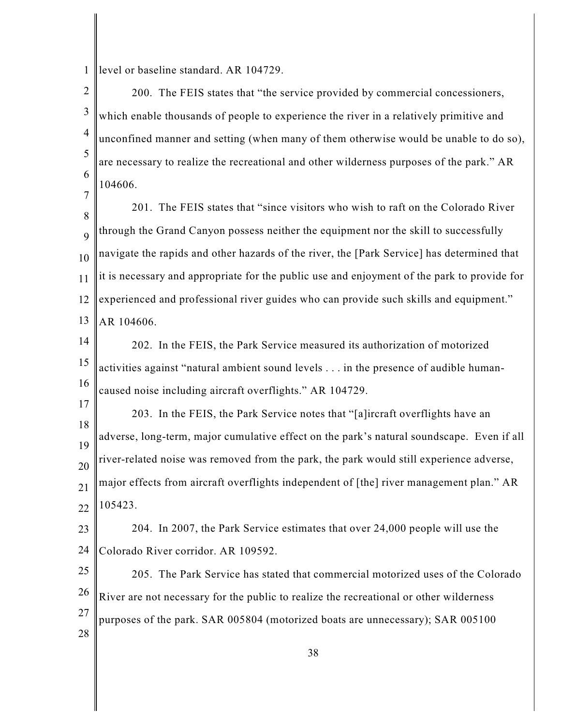1 level or baseline standard. AR 104729.

7

17

2 3 4 5 6 200. The FEIS states that "the service provided by commercial concessioners, which enable thousands of people to experience the river in a relatively primitive and unconfined manner and setting (when many of them otherwise would be unable to do so), are necessary to realize the recreational and other wilderness purposes of the park." AR 104606.

8 9 10 11 12 13 201. The FEIS states that "since visitors who wish to raft on the Colorado River through the Grand Canyon possess neither the equipment nor the skill to successfully navigate the rapids and other hazards of the river, the [Park Service] has determined that it is necessary and appropriate for the public use and enjoyment of the park to provide for experienced and professional river guides who can provide such skills and equipment." AR 104606.

14 15 16 202. In the FEIS, the Park Service measured its authorization of motorized activities against "natural ambient sound levels . . . in the presence of audible humancaused noise including aircraft overflights." AR 104729.

18 19 20 21 22 203. In the FEIS, the Park Service notes that "[a]ircraft overflights have an adverse, long-term, major cumulative effect on the park's natural soundscape. Even if all river-related noise was removed from the park, the park would still experience adverse, major effects from aircraft overflights independent of [the] river management plan." AR 105423.

23 24 204. In 2007, the Park Service estimates that over 24,000 people will use the Colorado River corridor. AR 109592.

25 26 27 28 205. The Park Service has stated that commercial motorized uses of the Colorado River are not necessary for the public to realize the recreational or other wilderness purposes of the park. SAR 005804 (motorized boats are unnecessary); SAR 005100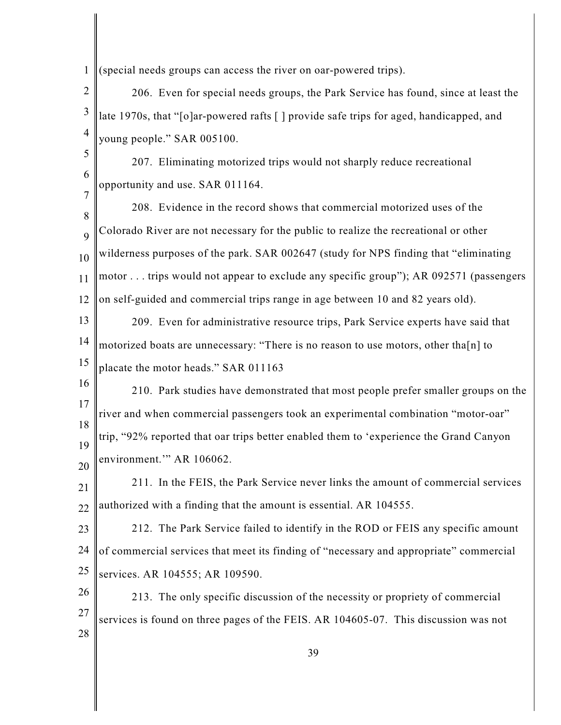1 (special needs groups can access the river on oar-powered trips).

2 3 4 206. Even for special needs groups, the Park Service has found, since at least the late 1970s, that "[o]ar-powered rafts [ ] provide safe trips for aged, handicapped, and young people." SAR 005100.

5 6 7 207. Eliminating motorized trips would not sharply reduce recreational opportunity and use. SAR 011164.

8 9 10 11 12 208. Evidence in the record shows that commercial motorized uses of the Colorado River are not necessary for the public to realize the recreational or other wilderness purposes of the park. SAR 002647 (study for NPS finding that "eliminating motor . . . trips would not appear to exclude any specific group"); AR 092571 (passengers on self-guided and commercial trips range in age between 10 and 82 years old).

13 14 15 209. Even for administrative resource trips, Park Service experts have said that motorized boats are unnecessary: "There is no reason to use motors, other tha[n] to placate the motor heads." SAR 011163

16 17 18 19 20 210. Park studies have demonstrated that most people prefer smaller groups on the river and when commercial passengers took an experimental combination "motor-oar" trip, "92% reported that oar trips better enabled them to 'experience the Grand Canyon environment." AR 106062.

21 22 211. In the FEIS, the Park Service never links the amount of commercial services authorized with a finding that the amount is essential. AR 104555.

23 24 25 212. The Park Service failed to identify in the ROD or FEIS any specific amount of commercial services that meet its finding of "necessary and appropriate" commercial services. AR 104555; AR 109590.

26 27 28 213. The only specific discussion of the necessity or propriety of commercial services is found on three pages of the FEIS. AR 104605-07. This discussion was not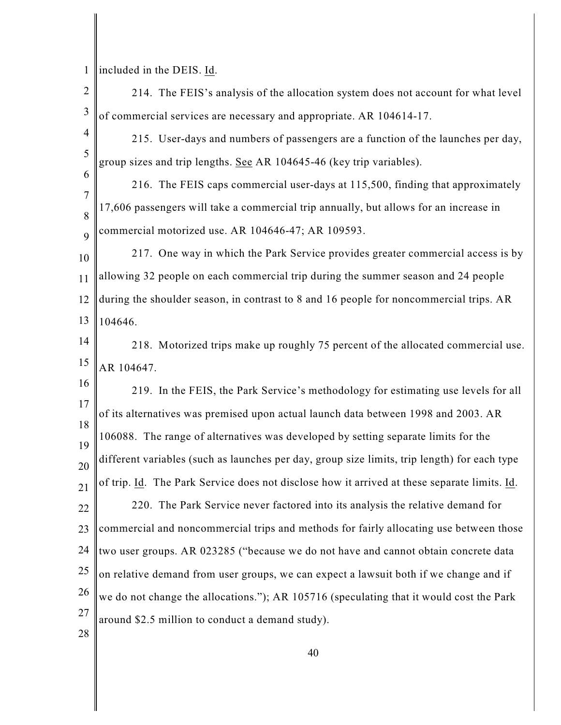1 included in the DEIS. Id.

2 3 4 5 6 7 8 9 10 11 12 13 14 15 16 17 18 19 20 21 22 23 24 25 26 27 28 214. The FEIS's analysis of the allocation system does not account for what level of commercial services are necessary and appropriate. AR 104614-17. 215. User-days and numbers of passengers are a function of the launches per day, group sizes and trip lengths. See AR 104645-46 (key trip variables). 216. The FEIS caps commercial user-days at 115,500, finding that approximately 17,606 passengers will take a commercial trip annually, but allows for an increase in commercial motorized use. AR 104646-47; AR 109593. 217. One way in which the Park Service provides greater commercial access is by allowing 32 people on each commercial trip during the summer season and 24 people during the shoulder season, in contrast to 8 and 16 people for noncommercial trips. AR 104646. 218. Motorized trips make up roughly 75 percent of the allocated commercial use. AR 104647. 219. In the FEIS, the Park Service's methodology for estimating use levels for all of its alternatives was premised upon actual launch data between 1998 and 2003. AR 106088. The range of alternatives was developed by setting separate limits for the different variables (such as launches per day, group size limits, trip length) for each type of trip. Id. The Park Service does not disclose how it arrived at these separate limits. Id. 220. The Park Service never factored into its analysis the relative demand for commercial and noncommercial trips and methods for fairly allocating use between those two user groups. AR 023285 ("because we do not have and cannot obtain concrete data on relative demand from user groups, we can expect a lawsuit both if we change and if we do not change the allocations."); AR 105716 (speculating that it would cost the Park around \$2.5 million to conduct a demand study).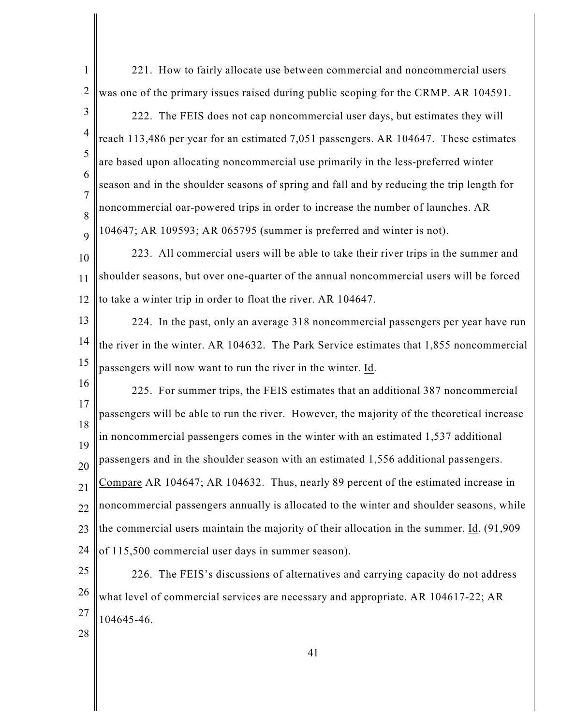| $\mathbf{1}$        | 221. How to fairly allocate use between commercial and noncommercial users                   |
|---------------------|----------------------------------------------------------------------------------------------|
| $\overline{2}$      | was one of the primary issues raised during public scoping for the CRMP. AR 104591.          |
| 3                   | 222. The FEIS does not cap noncommercial user days, but estimates they will                  |
| $\overline{4}$      | reach 113,486 per year for an estimated 7,051 passengers. AR 104647. These estimates         |
| 5                   | are based upon allocating noncommercial use primarily in the less-preferred winter           |
| 6                   | season and in the shoulder seasons of spring and fall and by reducing the trip length for    |
| $\overline{7}$<br>8 | noncommercial oar-powered trips in order to increase the number of launches. AR              |
| 9                   | 104647; AR 109593; AR 065795 (summer is preferred and winter is not).                        |
| 10                  | 223. All commercial users will be able to take their river trips in the summer and           |
| 11                  | shoulder seasons, but over one-quarter of the annual noncommercial users will be forced      |
| 12                  | to take a winter trip in order to float the river. AR 104647.                                |
| 13                  | 224. In the past, only an average 318 noncommercial passengers per year have run             |
| 14                  | the river in the winter. AR 104632. The Park Service estimates that 1,855 noncommercial      |
| 15                  | passengers will now want to run the river in the winter. Id.                                 |
| 16                  | 225. For summer trips, the FEIS estimates that an additional 387 noncommercial               |
| 17                  | passengers will be able to run the river. However, the majority of the theoretical increase  |
| 18<br>19            | in noncommercial passengers comes in the winter with an estimated 1,537 additional           |
| 20                  | passengers and in the shoulder season with an estimated 1,556 additional passengers.         |
| 21                  | Compare AR 104647; AR 104632. Thus, nearly 89 percent of the estimated increase in           |
| 22                  | noncommercial passengers annually is allocated to the winter and shoulder seasons, while     |
| 23                  | the commercial users maintain the majority of their allocation in the summer. Id. $(91,909)$ |
| 24                  | of 115,500 commercial user days in summer season).                                           |
| 25                  | 226. The FEIS's discussions of alternatives and carrying capacity do not address             |
|                     |                                                                                              |
| 26                  | what level of commercial services are necessary and appropriate. AR 104617-22; AR            |
| 27<br>28            | 104645-46.                                                                                   |

║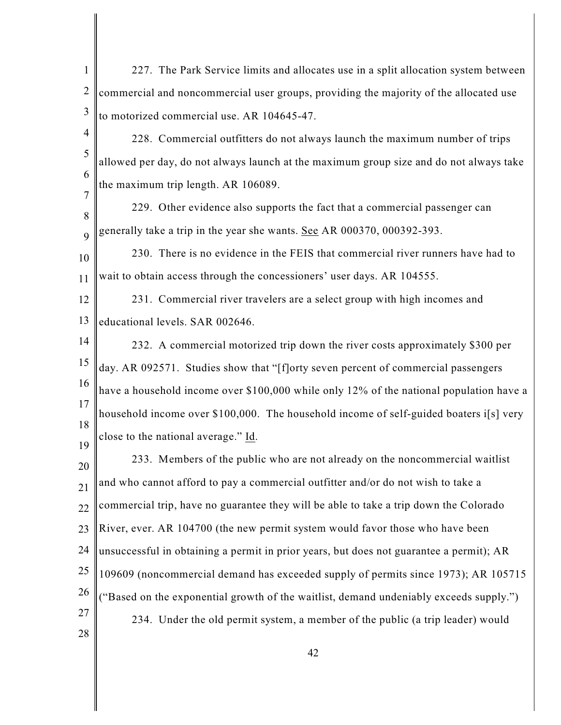- 1 2 3 227. The Park Service limits and allocates use in a split allocation system between commercial and noncommercial user groups, providing the majority of the allocated use to motorized commercial use. AR 104645-47.
- 4 5 6 7 228. Commercial outfitters do not always launch the maximum number of trips allowed per day, do not always launch at the maximum group size and do not always take the maximum trip length. AR 106089.

8 9 229. Other evidence also supports the fact that a commercial passenger can generally take a trip in the year she wants. See AR 000370, 000392-393.

10 11 230. There is no evidence in the FEIS that commercial river runners have had to wait to obtain access through the concessioners' user days. AR 104555.

12 13 231. Commercial river travelers are a select group with high incomes and educational levels. SAR 002646.

19

14 15 16 17 18 232. A commercial motorized trip down the river costs approximately \$300 per day. AR 092571. Studies show that "[f]orty seven percent of commercial passengers have a household income over \$100,000 while only 12% of the national population have a household income over \$100,000. The household income of self-guided boaters i[s] very close to the national average." Id.

20 21 22 23 24 25 26 27 28 233. Members of the public who are not already on the noncommercial waitlist and who cannot afford to pay a commercial outfitter and/or do not wish to take a commercial trip, have no guarantee they will be able to take a trip down the Colorado River, ever. AR 104700 (the new permit system would favor those who have been unsuccessful in obtaining a permit in prior years, but does not guarantee a permit); AR 109609 (noncommercial demand has exceeded supply of permits since 1973); AR 105715 ("Based on the exponential growth of the waitlist, demand undeniably exceeds supply.") 234. Under the old permit system, a member of the public (a trip leader) would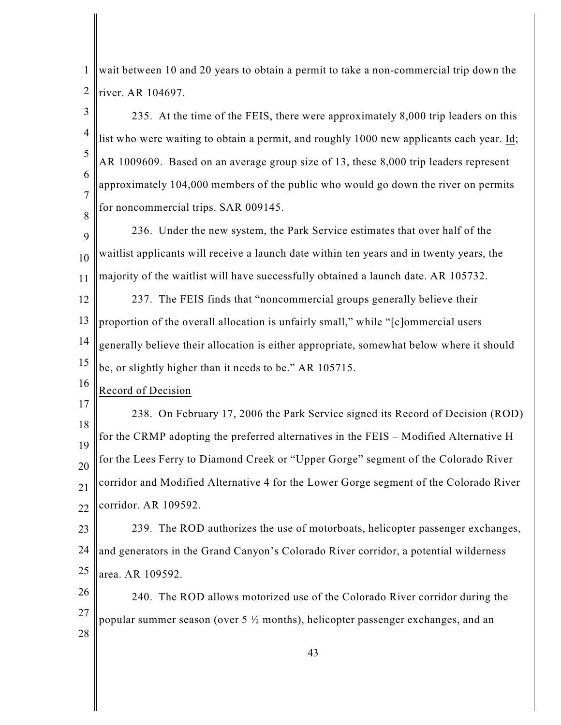1 2 wait between 10 and 20 years to obtain a permit to take a non-commercial trip down the river. AR 104697.

3 4 5 6 7 8 235. At the time of the FEIS, there were approximately 8,000 trip leaders on this list who were waiting to obtain a permit, and roughly 1000 new applicants each year. Id; AR 1009609. Based on an average group size of 13, these 8,000 trip leaders represent approximately 104,000 members of the public who would go down the river on permits for noncommercial trips. SAR 009145.

9 10 11 236. Under the new system, the Park Service estimates that over half of the waitlist applicants will receive a launch date within ten years and in twenty years, the majority of the waitlist will have successfully obtained a launch date. AR 105732.

12 13 14 15 237. The FEIS finds that "noncommercial groups generally believe their proportion of the overall allocation is unfairly small," while "[c]ommercial users generally believe their allocation is either appropriate, somewhat below where it should be, or slightly higher than it needs to be." AR 105715.

16 Record of Decision

17 18 19 20 21 22 238. On February 17, 2006 the Park Service signed its Record of Decision (ROD) for the CRMP adopting the preferred alternatives in the FEIS – Modified Alternative H for the Lees Ferry to Diamond Creek or "Upper Gorge" segment of the Colorado River corridor and Modified Alternative 4 for the Lower Gorge segment of the Colorado River corridor. AR 109592.

23 24 25 239. The ROD authorizes the use of motorboats, helicopter passenger exchanges, and generators in the Grand Canyon's Colorado River corridor, a potential wilderness area. AR 109592.

26 27 28 240. The ROD allows motorized use of the Colorado River corridor during the popular summer season (over 5  $\frac{1}{2}$  months), helicopter passenger exchanges, and an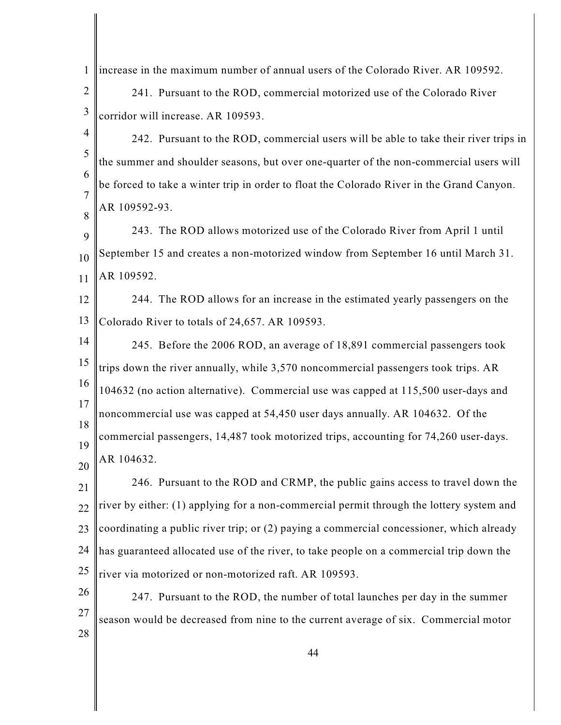| $\mathbf{1}$        | increase in the maximum number of annual users of the Colorado River. AR 109592.          |
|---------------------|-------------------------------------------------------------------------------------------|
| $\overline{2}$      | 241. Pursuant to the ROD, commercial motorized use of the Colorado River                  |
| $\mathfrak{Z}$      | corridor will increase. AR 109593.                                                        |
| $\overline{4}$      | 242. Pursuant to the ROD, commercial users will be able to take their river trips in      |
| 5                   | the summer and shoulder seasons, but over one-quarter of the non-commercial users will    |
| 6                   | be forced to take a winter trip in order to float the Colorado River in the Grand Canyon. |
| $\overline{7}$<br>8 | AR 109592-93.                                                                             |
| 9                   | 243. The ROD allows motorized use of the Colorado River from April 1 until                |
| 10                  | September 15 and creates a non-motorized window from September 16 until March 31.         |
| 11                  | AR 109592.                                                                                |
| 12                  | 244. The ROD allows for an increase in the estimated yearly passengers on the             |
| 13                  | Colorado River to totals of 24,657. AR 109593.                                            |
| 14                  | 245. Before the 2006 ROD, an average of 18,891 commercial passengers took                 |
| 15                  | trips down the river annually, while 3,570 noncommercial passengers took trips. AR        |
| 16                  | 104632 (no action alternative). Commercial use was capped at 115,500 user-days and        |
| 17                  | noncommercial use was capped at 54,450 user days annually. AR 104632. Of the              |
| 18<br>19            | commercial passengers, 14,487 took motorized trips, accounting for 74,260 user-days.      |
| 20                  | AR 104632.                                                                                |
| 21                  | 246. Pursuant to the ROD and CRMP, the public gains access to travel down the             |
| 22                  | river by either: (1) applying for a non-commercial permit through the lottery system and  |
| 23                  | coordinating a public river trip; or (2) paying a commercial concessioner, which already  |
| 24                  | has guaranteed allocated use of the river, to take people on a commercial trip down the   |
| 25                  | river via motorized or non-motorized raft. AR 109593.                                     |
| 26                  | 247. Pursuant to the ROD, the number of total launches per day in the summer              |
| 27                  | season would be decreased from nine to the current average of six. Commercial motor       |
| 28                  |                                                                                           |
|                     | 44                                                                                        |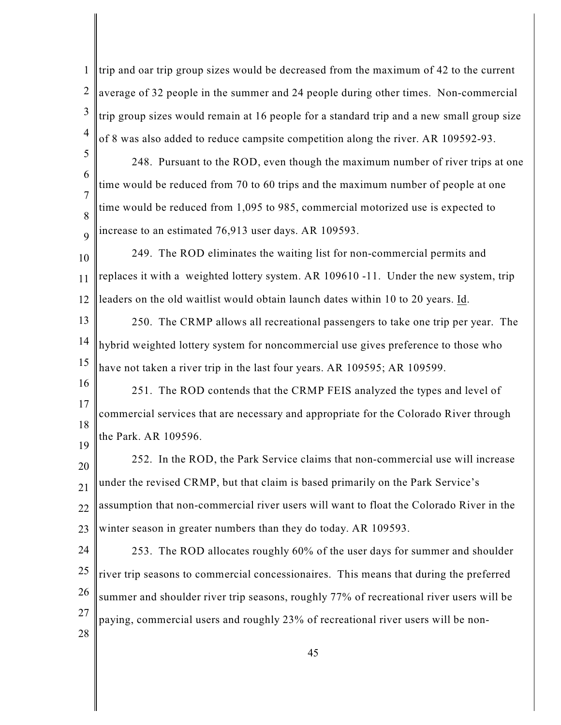1 2 3 4 trip and oar trip group sizes would be decreased from the maximum of 42 to the current average of 32 people in the summer and 24 people during other times. Non-commercial trip group sizes would remain at 16 people for a standard trip and a new small group size of 8 was also added to reduce campsite competition along the river. AR 109592-93.

5 6 7 8 9 248. Pursuant to the ROD, even though the maximum number of river trips at one time would be reduced from 70 to 60 trips and the maximum number of people at one time would be reduced from 1,095 to 985, commercial motorized use is expected to increase to an estimated 76,913 user days. AR 109593.

10 11 12 249. The ROD eliminates the waiting list for non-commercial permits and replaces it with a weighted lottery system. AR 109610 -11. Under the new system, trip leaders on the old waitlist would obtain launch dates within 10 to 20 years. Id.

13 14 15 250. The CRMP allows all recreational passengers to take one trip per year. The hybrid weighted lottery system for noncommercial use gives preference to those who have not taken a river trip in the last four years. AR 109595; AR 109599.

16 17 18 19 251. The ROD contends that the CRMP FEIS analyzed the types and level of commercial services that are necessary and appropriate for the Colorado River through the Park. AR 109596.

20 21 22 23 252. In the ROD, the Park Service claims that non-commercial use will increase under the revised CRMP, but that claim is based primarily on the Park Service's assumption that non-commercial river users will want to float the Colorado River in the winter season in greater numbers than they do today. AR 109593.

24 25 26 27 28 253. The ROD allocates roughly 60% of the user days for summer and shoulder river trip seasons to commercial concessionaires. This means that during the preferred summer and shoulder river trip seasons, roughly 77% of recreational river users will be paying, commercial users and roughly 23% of recreational river users will be non-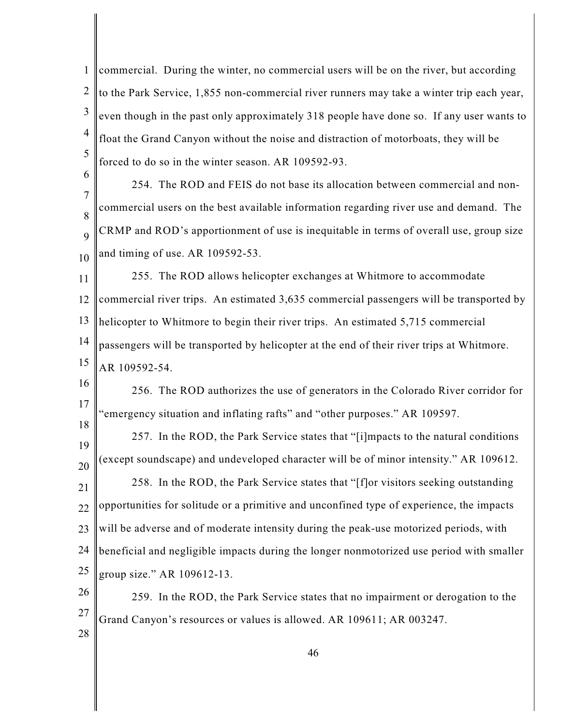1 2 3 4 5 commercial. During the winter, no commercial users will be on the river, but according to the Park Service, 1,855 non-commercial river runners may take a winter trip each year, even though in the past only approximately 318 people have done so. If any user wants to float the Grand Canyon without the noise and distraction of motorboats, they will be forced to do so in the winter season. AR 109592-93.

7 8 9 10 254. The ROD and FEIS do not base its allocation between commercial and noncommercial users on the best available information regarding river use and demand. The CRMP and ROD's apportionment of use is inequitable in terms of overall use, group size and timing of use. AR 109592-53.

11 12 13 14 15 255. The ROD allows helicopter exchanges at Whitmore to accommodate commercial river trips. An estimated 3,635 commercial passengers will be transported by helicopter to Whitmore to begin their river trips. An estimated 5,715 commercial passengers will be transported by helicopter at the end of their river trips at Whitmore. AR 109592-54.

16 17 18 256. The ROD authorizes the use of generators in the Colorado River corridor for "emergency situation and inflating rafts" and "other purposes." AR 109597.

19 20 21 22 23 24 25 257. In the ROD, the Park Service states that "[i]mpacts to the natural conditions (except soundscape) and undeveloped character will be of minor intensity." AR 109612. 258. In the ROD, the Park Service states that "[f]or visitors seeking outstanding opportunities for solitude or a primitive and unconfined type of experience, the impacts will be adverse and of moderate intensity during the peak-use motorized periods, with beneficial and negligible impacts during the longer nonmotorized use period with smaller group size." AR 109612-13.

26 27 259. In the ROD, the Park Service states that no impairment or derogation to the Grand Canyon's resources or values is allowed. AR 109611; AR 003247.

28